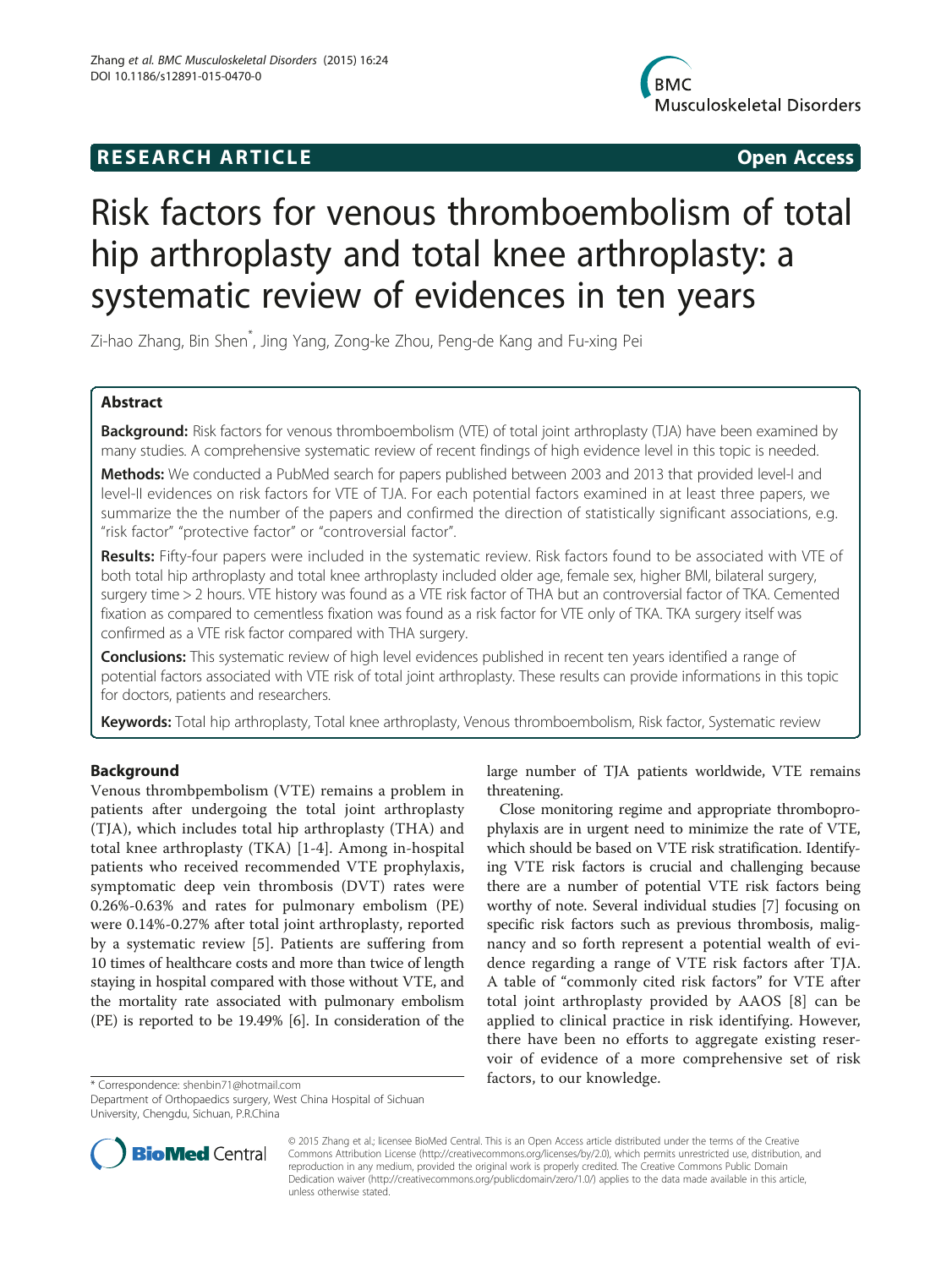## **RESEARCH ARTICLE Example 2014 Open Access**



# Risk factors for venous thromboembolism of total hip arthroplasty and total knee arthroplasty: a systematic review of evidences in ten years

Zi-hao Zhang, Bin Shen\* , Jing Yang, Zong-ke Zhou, Peng-de Kang and Fu-xing Pei

## Abstract

Background: Risk factors for venous thromboembolism (VTE) of total joint arthroplasty (TJA) have been examined by many studies. A comprehensive systematic review of recent findings of high evidence level in this topic is needed.

Methods: We conducted a PubMed search for papers published between 2003 and 2013 that provided level-I and level-II evidences on risk factors for VTE of TJA. For each potential factors examined in at least three papers, we summarize the the number of the papers and confirmed the direction of statistically significant associations, e.g. "risk factor" "protective factor" or "controversial factor".

Results: Fifty-four papers were included in the systematic review. Risk factors found to be associated with VTE of both total hip arthroplasty and total knee arthroplasty included older age, female sex, higher BMI, bilateral surgery, surgery time > 2 hours. VTE history was found as a VTE risk factor of THA but an controversial factor of TKA. Cemented fixation as compared to cementless fixation was found as a risk factor for VTE only of TKA. TKA surgery itself was confirmed as a VTE risk factor compared with THA surgery.

Conclusions: This systematic review of high level evidences published in recent ten years identified a range of potential factors associated with VTE risk of total joint arthroplasty. These results can provide informations in this topic for doctors, patients and researchers.

Keywords: Total hip arthroplasty, Total knee arthroplasty, Venous thromboembolism, Risk factor, Systematic review

## Background

Venous thrombpembolism (VTE) remains a problem in patients after undergoing the total joint arthroplasty (TJA), which includes total hip arthroplasty (THA) and total knee arthroplasty (TKA) [\[1](#page-11-0)-[4\]](#page-11-0). Among in-hospital patients who received recommended VTE prophylaxis, symptomatic deep vein thrombosis (DVT) rates were 0.26%-0.63% and rates for pulmonary embolism (PE) were 0.14%-0.27% after total joint arthroplasty, reported by a systematic review [[5\]](#page-11-0). Patients are suffering from 10 times of healthcare costs and more than twice of length staying in hospital compared with those without VTE, and the mortality rate associated with pulmonary embolism (PE) is reported to be 19.49% [[6](#page-11-0)]. In consideration of the

Department of Orthopaedics surgery, West China Hospital of Sichuan University, Chengdu, Sichuan, P.R.China

large number of TJA patients worldwide, VTE remains threatening.

Close monitoring regime and appropriate thromboprophylaxis are in urgent need to minimize the rate of VTE, which should be based on VTE risk stratification. Identifying VTE risk factors is crucial and challenging because there are a number of potential VTE risk factors being worthy of note. Several individual studies [[7\]](#page-11-0) focusing on specific risk factors such as previous thrombosis, malignancy and so forth represent a potential wealth of evidence regarding a range of VTE risk factors after TJA. A table of "commonly cited risk factors" for VTE after total joint arthroplasty provided by AAOS [[8\]](#page-11-0) can be applied to clinical practice in risk identifying. However, there have been no efforts to aggregate existing reservoir of evidence of a more comprehensive set of risk factors, to our knowledge. \* Correspondence: [shenbin71@hotmail.com](mailto:shenbin71@hotmail.com)



© 2015 Zhang et al.; licensee BioMed Central. This is an Open Access article distributed under the terms of the Creative Commons Attribution License [\(http://creativecommons.org/licenses/by/2.0\)](http://creativecommons.org/licenses/by/2.0), which permits unrestricted use, distribution, and reproduction in any medium, provided the original work is properly credited. The Creative Commons Public Domain Dedication waiver [\(http://creativecommons.org/publicdomain/zero/1.0/](http://creativecommons.org/publicdomain/zero/1.0/)) applies to the data made available in this article, unless otherwise stated.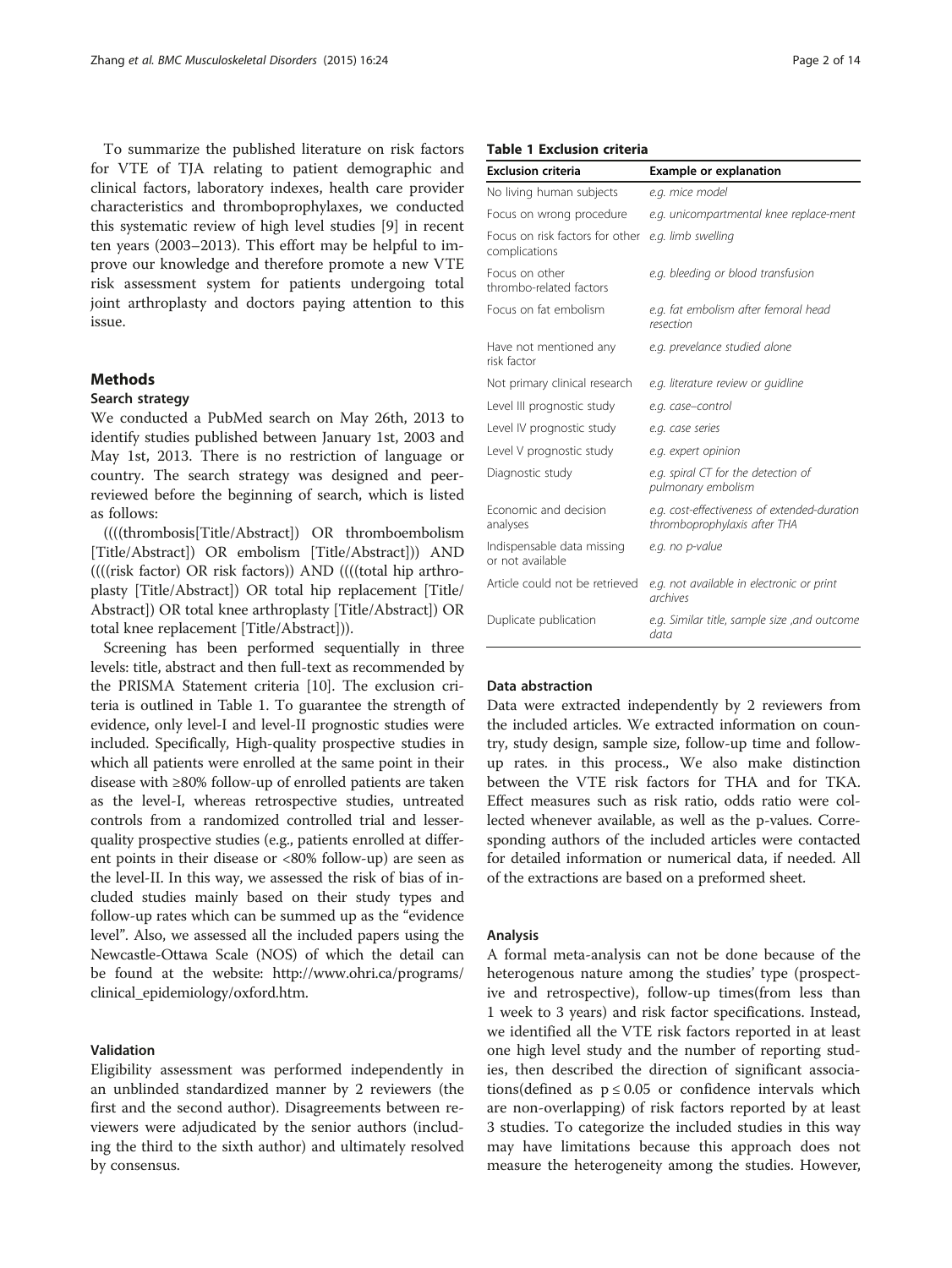<span id="page-1-0"></span>To summarize the published literature on risk factors for VTE of TJA relating to patient demographic and clinical factors, laboratory indexes, health care provider characteristics and thromboprophylaxes, we conducted this systematic review of high level studies [[9\]](#page-11-0) in recent ten years (2003–2013). This effort may be helpful to improve our knowledge and therefore promote a new VTE risk assessment system for patients undergoing total joint arthroplasty and doctors paying attention to this issue.

## Methods

## Search strategy

We conducted a PubMed search on May 26th, 2013 to identify studies published between January 1st, 2003 and May 1st, 2013. There is no restriction of language or country. The search strategy was designed and peerreviewed before the beginning of search, which is listed as follows:

((((thrombosis[Title/Abstract]) OR thromboembolism [Title/Abstract]) OR embolism [Title/Abstract])) AND ((((risk factor) OR risk factors)) AND ((((total hip arthroplasty [Title/Abstract]) OR total hip replacement [Title/ Abstract]) OR total knee arthroplasty [Title/Abstract]) OR total knee replacement [Title/Abstract])).

Screening has been performed sequentially in three levels: title, abstract and then full-text as recommended by the PRISMA Statement criteria [[10](#page-11-0)]. The exclusion criteria is outlined in Table 1. To guarantee the strength of evidence, only level-I and level-II prognostic studies were included. Specifically, High-quality prospective studies in which all patients were enrolled at the same point in their disease with ≥80% follow-up of enrolled patients are taken as the level-I, whereas retrospective studies, untreated controls from a randomized controlled trial and lesserquality prospective studies (e.g., patients enrolled at different points in their disease or <80% follow-up) are seen as the level-II. In this way, we assessed the risk of bias of included studies mainly based on their study types and follow-up rates which can be summed up as the "evidence level". Also, we assessed all the included papers using the Newcastle-Ottawa Scale (NOS) of which the detail can be found at the website: [http://www.ohri.ca/programs/](http://www.ohri.ca/programs/clinical_epidemiology/oxford.htm) [clinical\\_epidemiology/oxford.htm.](http://www.ohri.ca/programs/clinical_epidemiology/oxford.htm)

### Validation

Eligibility assessment was performed independently in an unblinded standardized manner by 2 reviewers (the first and the second author). Disagreements between reviewers were adjudicated by the senior authors (including the third to the sixth author) and ultimately resolved by consensus.

#### Table 1 Exclusion criteria

| <b>Exclusion criteria</b>                        | <b>Example or explanation</b>                                                |
|--------------------------------------------------|------------------------------------------------------------------------------|
| No living human subjects                         | e.g. mice model                                                              |
| Focus on wrong procedure                         | e.g. unicompartmental knee replace-ment                                      |
| Focus on risk factors for other<br>complications | e.g. limb swelling                                                           |
| Focus on other<br>thrombo-related factors        | e.g. bleeding or blood transfusion                                           |
| Focus on fat embolism                            | e.g. fat embolism after femoral head<br>resection                            |
| Have not mentioned any<br>risk factor            | e.g. prevelance studied alone                                                |
| Not primary clinical research                    | e.g. literature review or quidline                                           |
| Level III prognostic study                       | e.g. case-control                                                            |
| Level IV prognostic study                        | e.g. case series                                                             |
| Level V prognostic study                         | e.g. expert opinion                                                          |
| Diagnostic study                                 | e.g. spiral CT for the detection of<br>pulmonary embolism                    |
| Economic and decision<br>analyses                | e.g. cost-effectiveness of extended-duration<br>thromboprophylaxis after THA |
| Indispensable data missing<br>or not available   | e.g. no p-value                                                              |
| Article could not be retrieved                   | e.g. not available in electronic or print<br>archives                        |
| Duplicate publication                            | e.g. Similar title, sample size ,and outcome<br>data                         |

#### Data abstraction

Data were extracted independently by 2 reviewers from the included articles. We extracted information on country, study design, sample size, follow-up time and followup rates. in this process., We also make distinction between the VTE risk factors for THA and for TKA. Effect measures such as risk ratio, odds ratio were collected whenever available, as well as the p-values. Corresponding authors of the included articles were contacted for detailed information or numerical data, if needed. All of the extractions are based on a preformed sheet.

#### Analysis

A formal meta-analysis can not be done because of the heterogenous nature among the studies' type (prospective and retrospective), follow-up times(from less than 1 week to 3 years) and risk factor specifications. Instead, we identified all the VTE risk factors reported in at least one high level study and the number of reporting studies, then described the direction of significant associations(defined as  $p \le 0.05$  or confidence intervals which are non-overlapping) of risk factors reported by at least 3 studies. To categorize the included studies in this way may have limitations because this approach does not measure the heterogeneity among the studies. However,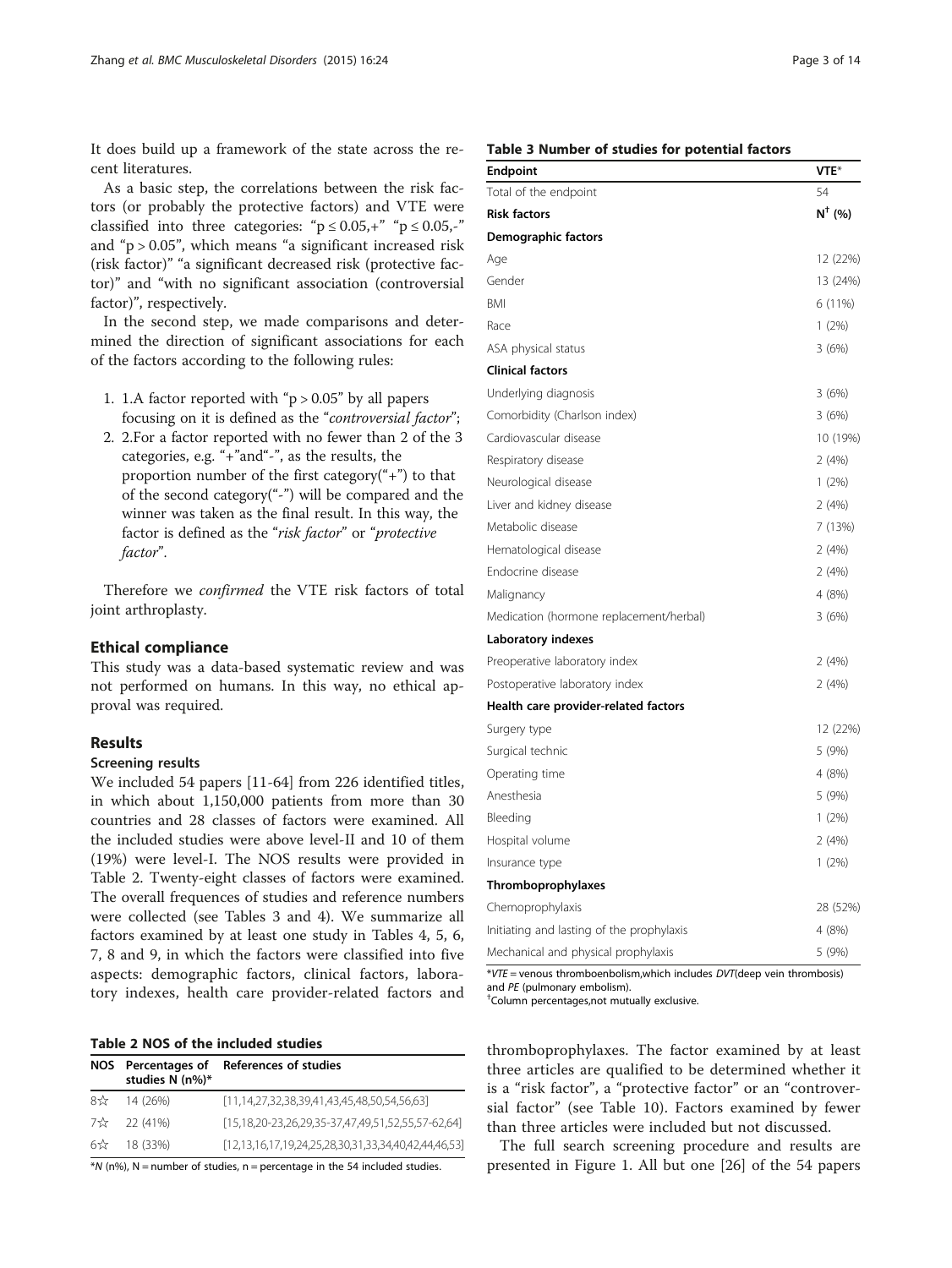<span id="page-2-0"></span>It does build up a framework of the state across the recent literatures.

As a basic step, the correlations between the risk factors (or probably the protective factors) and VTE were classified into three categories: " $p \le 0.05$ , +" " $p \le 0.05$ , -" and " $p > 0.05$ ", which means "a significant increased risk (risk factor)" "a significant decreased risk (protective factor)" and "with no significant association (controversial factor)", respectively.

In the second step, we made comparisons and determined the direction of significant associations for each of the factors according to the following rules:

- 1. 1.A factor reported with " $p > 0.05$ " by all papers focusing on it is defined as the "controversial factor";
- 2. 2.For a factor reported with no fewer than 2 of the 3 categories, e.g. "+"and"-", as the results, the proportion number of the first category("+") to that of the second category("-") will be compared and the winner was taken as the final result. In this way, the factor is defined as the "risk factor" or "protective factor".

Therefore we confirmed the VTE risk factors of total joint arthroplasty.

## Ethical compliance

This study was a data-based systematic review and was not performed on humans. In this way, no ethical approval was required.

## Results

## Screening results

We included 54 papers [\[11](#page-11-0)-[64\]](#page-13-0) from 226 identified titles, in which about 1,150,000 patients from more than 30 countries and 28 classes of factors were examined. All the included studies were above level-II and 10 of them (19%) were level-I. The NOS results were provided in Table 2. Twenty-eight classes of factors were examined. The overall frequences of studies and reference numbers were collected (see Tables 3 and [4\)](#page-3-0). We summarize all factors examined by at least one study in Tables [4](#page-3-0), [5,](#page-4-0) [6](#page-5-0), [7, 8](#page-6-0) and [9,](#page-7-0) in which the factors were classified into five aspects: demographic factors, clinical factors, laboratory indexes, health care provider-related factors and

#### Table 2 NOS of the included studies

|    | NOS Percentages of<br>studies N (n%)* | References of studies                                                 |
|----|---------------------------------------|-----------------------------------------------------------------------|
| 8☆ | 14 (26%)                              | $[11, 14, 27, 32, 38, 39, 41, 43, 45, 48, 50, 54, 56, 63]$            |
| 7☆ | 22 (41%)                              | $[15, 18, 20 - 23, 26, 29, 35 - 37, 47, 49, 51, 52, 55, 57 - 62, 64]$ |
| 6☆ | 18 (33%)                              | [12,13,16,17,19,24,25,28,30,31,33,34,40,42,44,46,53]                  |

 $*N$  (n%), N = number of studies, n = percentage in the 54 included studies.

#### Table 3 Number of studies for potential factors

| <b>Endpoint</b>                           | VTE*        |
|-------------------------------------------|-------------|
| Total of the endpoint                     | 54          |
| <b>Risk factors</b>                       | $N^{+}$ (%) |
| Demographic factors                       |             |
| Age                                       | 12 (22%)    |
| Gender                                    | 13 (24%)    |
| <b>BMI</b>                                | 6 (11%)     |
| Race                                      | 1(2%)       |
| ASA physical status                       | 3(6%)       |
| <b>Clinical factors</b>                   |             |
| Underlying diagnosis                      | 3(6%)       |
| Comorbidity (Charlson index)              | 3(6%)       |
| Cardiovascular disease                    | 10 (19%)    |
| Respiratory disease                       | 2 (4%)      |
| Neurological disease                      | 1(2%)       |
| Liver and kidney disease                  | 2 (4%)      |
| Metabolic disease                         | 7 (13%)     |
| Hematological disease                     | 2(4%)       |
| Endocrine disease                         | 2 (4%)      |
| Malignancy                                | 4 (8%)      |
| Medication (hormone replacement/herbal)   | 3(6%)       |
| Laboratory indexes                        |             |
| Preoperative laboratory index             | 2(4%)       |
| Postoperative laboratory index            | 2(4%)       |
| Health care provider-related factors      |             |
| Surgery type                              | 12 (22%)    |
| Surgical technic                          | 5 (9%)      |
| Operating time                            | 4 (8%)      |
| Anesthesia                                | 5 (9%)      |
| Bleeding                                  | 1(2%)       |
| Hospital volume                           | 2(4%)       |
| Insurance type                            | 1(2%)       |
| Thromboprophylaxes                        |             |
| Chemoprophylaxis                          | 28 (52%)    |
| Initiating and lasting of the prophylaxis | 4 (8%)      |
| Mechanical and physical prophylaxis       | 5 (9%)      |

 $*VTE$  = venous thromboenbolism, which includes DVT(deep vein thrombosis) and  $PE$  (pulmonary embolism).

Column percentages,not mutually exclusive.

thromboprophylaxes. The factor examined by at least three articles are qualified to be determined whether it is a "risk factor", a "protective factor" or an "controversial factor" (see Table [10](#page-7-0)). Factors examined by fewer than three articles were included but not discussed.

The full search screening procedure and results are presented in Figure [1.](#page-8-0) All but one [[26\]](#page-12-0) of the 54 papers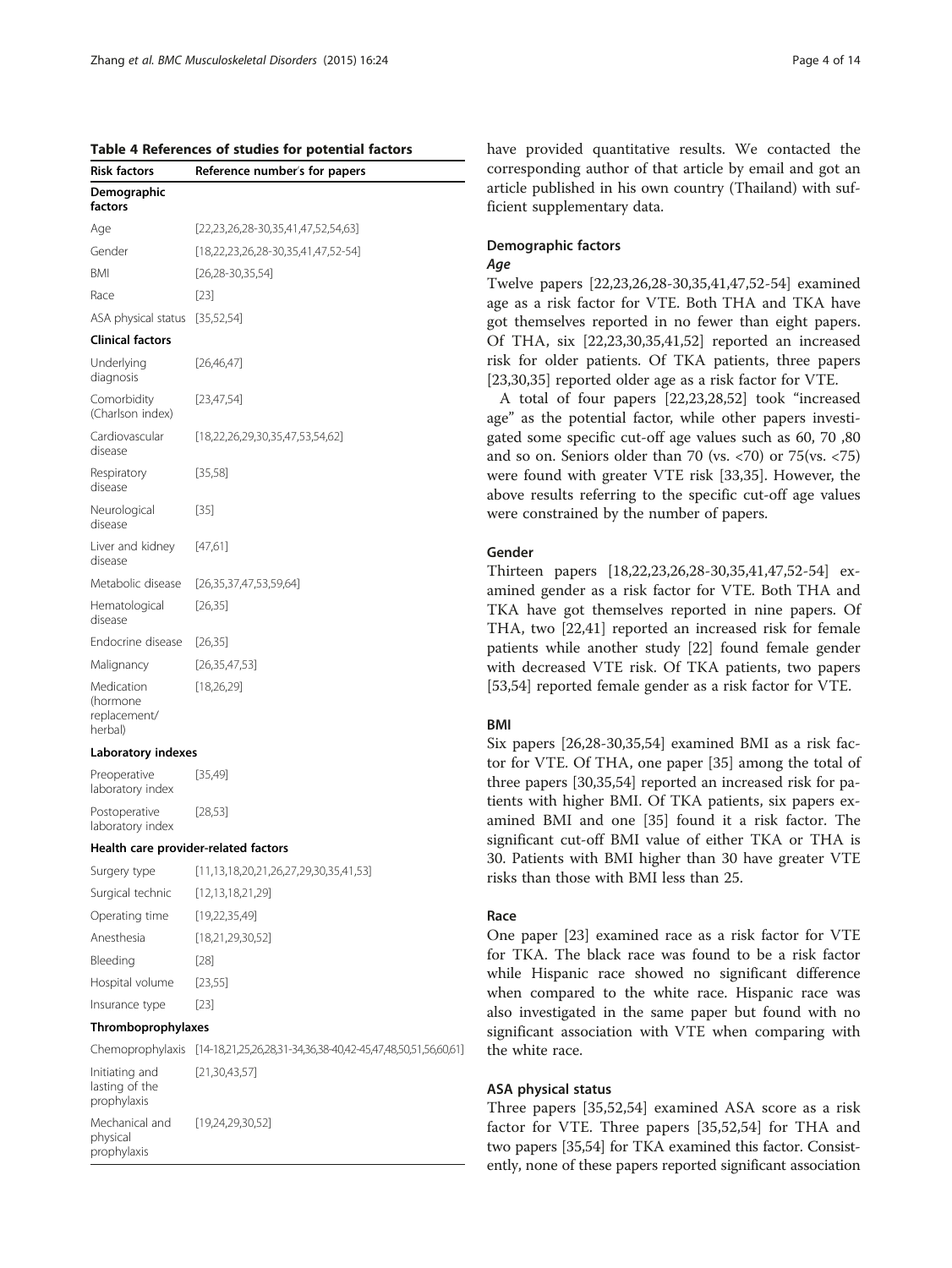<span id="page-3-0"></span>

| Table 4 References of studies for potential factors |  |  |  |  |  |
|-----------------------------------------------------|--|--|--|--|--|
|-----------------------------------------------------|--|--|--|--|--|

| <b>Risk factors</b>                               | Reference number's for papers                                   |
|---------------------------------------------------|-----------------------------------------------------------------|
| Demographic<br>factors                            |                                                                 |
| Age                                               | [22,23,26,28-30,35,41,47,52,54,63]                              |
| Gender                                            | [18,22,23,26,28-30,35,41,47,52-54]                              |
| BMI                                               | $[26, 28 - 30, 35, 54]$                                         |
| Race                                              | $[23]$                                                          |
| ASA physical status                               | [35, 52, 54]                                                    |
| <b>Clinical factors</b>                           |                                                                 |
| Underlying<br>diagnosis                           | [26,46,47]                                                      |
| Comorbidity<br>(Charlson index)                   | [23,47,54]                                                      |
| Cardiovascular<br>disease                         | $[18, 22, 26, 29, 30, 35, 47, 53, 54, 62]$                      |
| Respiratory<br>disease                            | [35,58]                                                         |
| Neurological<br>disease                           | $[35]$                                                          |
| Liver and kidney<br>disease                       | [47,61]                                                         |
| Metabolic disease                                 | [26,35,37,47,53,59,64]                                          |
| Hematological<br>disease                          | [26, 35]                                                        |
| Endocrine disease                                 | [26, 35]                                                        |
| Malignancy                                        | [26,35,47,53]                                                   |
| Medication<br>(hormone<br>replacement/<br>herbal) | [18, 26, 29]                                                    |
| Laboratory indexes                                |                                                                 |
| Preoperative<br>laboratory index                  | [35, 49]                                                        |
| Postoperative<br>laboratory index                 | [28, 53]                                                        |
| Health care provider-related factors              |                                                                 |
| Surgery type                                      | $[11, 13, 18, 20, 21, 26, 27, 29, 30, 35, 41, 53]$              |
| Surgical technic                                  | [12,13,18,21,29]                                                |
| Operating time                                    | [19, 22, 35, 49]                                                |
| Anesthesia                                        | [18,21,29,30,52]                                                |
| Bleeding                                          | [28]                                                            |
| Hospital volume                                   | [23, 55]                                                        |
| Insurance type                                    | [23]                                                            |
| Thromboprophylaxes                                |                                                                 |
| Chemoprophylaxis                                  | $[14-18,21,25,26,28,31-34,36,38-40,42-45,47,48,50,51,56,60,61]$ |
| Initiating and<br>lasting of the<br>prophylaxis   | [21,30,43,57]                                                   |
| Mechanical and<br>physical<br>prophylaxis         | [19,24,29,30,52]                                                |
|                                                   |                                                                 |

have provided quantitative results. We contacted the corresponding author of that article by email and got an article published in his own country (Thailand) with sufficient supplementary data.

## Demographic factors

## Age

Twelve papers [[22,23,26](#page-12-0),[28](#page-12-0)-[30,35,41,47,52-](#page-12-0)[54](#page-13-0)] examined age as a risk factor for VTE. Both THA and TKA have got themselves reported in no fewer than eight papers. Of THA, six [[22,23,30,35,41,52\]](#page-12-0) reported an increased risk for older patients. Of TKA patients, three papers [[23,30,35\]](#page-12-0) reported older age as a risk factor for VTE.

A total of four papers [\[22,23,28,52\]](#page-12-0) took "increased age" as the potential factor, while other papers investigated some specific cut-off age values such as 60, 70 ,80 and so on. Seniors older than 70 (vs. <70) or 75(vs. <75) were found with greater VTE risk [\[33,35](#page-12-0)]. However, the above results referring to the specific cut-off age values were constrained by the number of papers.

## Gender

Thirteen papers [[18,22,23,26,28](#page-12-0)-[30,35,41,47,52](#page-12-0)[-54\]](#page-13-0) examined gender as a risk factor for VTE. Both THA and TKA have got themselves reported in nine papers. Of THA, two [\[22,41](#page-12-0)] reported an increased risk for female patients while another study [\[22](#page-12-0)] found female gender with decreased VTE risk. Of TKA patients, two papers [[53,](#page-12-0)[54\]](#page-13-0) reported female gender as a risk factor for VTE.

## **BMI**

Six papers [\[26,28-30](#page-12-0),[35](#page-12-0)[,54](#page-13-0)] examined BMI as a risk factor for VTE. Of THA, one paper [\[35](#page-12-0)] among the total of three papers [\[30,35](#page-12-0)[,54](#page-13-0)] reported an increased risk for patients with higher BMI. Of TKA patients, six papers examined BMI and one [[35](#page-12-0)] found it a risk factor. The significant cut-off BMI value of either TKA or THA is 30. Patients with BMI higher than 30 have greater VTE risks than those with BMI less than 25.

## Race

One paper [\[23\]](#page-12-0) examined race as a risk factor for VTE for TKA. The black race was found to be a risk factor while Hispanic race showed no significant difference when compared to the white race. Hispanic race was also investigated in the same paper but found with no significant association with VTE when comparing with the white race.

## ASA physical status

Three papers [[35,52](#page-12-0)[,54](#page-13-0)] examined ASA score as a risk factor for VTE. Three papers [\[35,52](#page-12-0),[54\]](#page-13-0) for THA and two papers [\[35](#page-12-0)[,54\]](#page-13-0) for TKA examined this factor. Consistently, none of these papers reported significant association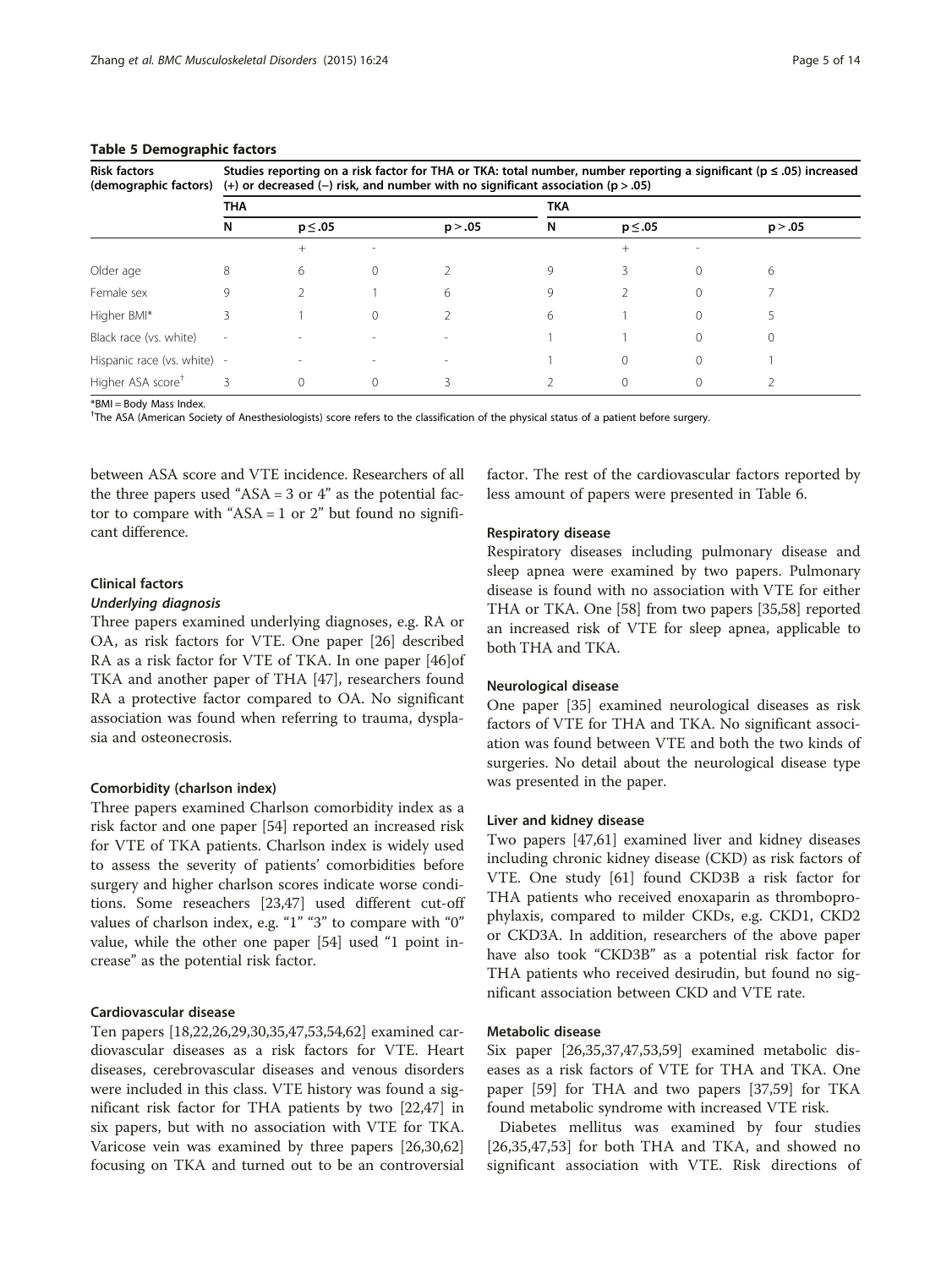#### <span id="page-4-0"></span>Table 5 Demographic factors

| <b>Risk factors</b><br>(demographic factors) | Studies reporting on a risk factor for THA or TKA: total number, number reporting a significant ( $p \le 0.05$ ) increased<br>(+) or decreased (-) risk, and number with no significant association ( $p > .05$ ) |              |          |         |     |              |   |         |  |  |  |
|----------------------------------------------|-------------------------------------------------------------------------------------------------------------------------------------------------------------------------------------------------------------------|--------------|----------|---------|-----|--------------|---|---------|--|--|--|
|                                              | <b>THA</b>                                                                                                                                                                                                        |              |          |         | ТКА |              |   |         |  |  |  |
|                                              | N                                                                                                                                                                                                                 | $p \leq .05$ |          | p > .05 | N   | $p \leq .05$ |   | p > .05 |  |  |  |
|                                              |                                                                                                                                                                                                                   | $^{+}$       |          |         |     | $^{+}$       |   |         |  |  |  |
| Older age                                    | 8                                                                                                                                                                                                                 | 6            | $\Omega$ |         | 9   |              |   | 6       |  |  |  |
| Female sex                                   | 9                                                                                                                                                                                                                 |              |          | 6       | 9   |              |   |         |  |  |  |
| Higher BMI*                                  | ζ                                                                                                                                                                                                                 |              | $\Omega$ |         | 6   |              | 0 |         |  |  |  |
| Black race (vs. white)                       | $\overline{\phantom{a}}$                                                                                                                                                                                          |              |          |         |     |              |   | $\cup$  |  |  |  |
| Hispanic race (vs. white) -                  |                                                                                                                                                                                                                   | $\sim$       |          |         |     |              |   |         |  |  |  |
| Higher ASA score <sup>t</sup>                |                                                                                                                                                                                                                   | 0            | $\Omega$ | 3       |     |              |   |         |  |  |  |

\*BMI = Body Mass Index.

† The ASA (American Society of Anesthesiologists) score refers to the classification of the physical status of a patient before surgery.

between ASA score and VTE incidence. Researchers of all the three papers used " $ASA = 3$  or  $4$ " as the potential factor to compare with " $ASA = 1$  or  $2$ " but found no significant difference.

## Clinical factors

## Underlying diagnosis

Three papers examined underlying diagnoses, e.g. RA or OA, as risk factors for VTE. One paper [[26](#page-12-0)] described RA as a risk factor for VTE of TKA. In one paper [[46](#page-12-0)]of TKA and another paper of THA [[47\]](#page-12-0), researchers found RA a protective factor compared to OA. No significant association was found when referring to trauma, dysplasia and osteonecrosis.

#### Comorbidity (charlson index)

Three papers examined Charlson comorbidity index as a risk factor and one paper [[54\]](#page-13-0) reported an increased risk for VTE of TKA patients. Charlson index is widely used to assess the severity of patients' comorbidities before surgery and higher charlson scores indicate worse conditions. Some reseachers [\[23,47\]](#page-12-0) used different cut-off values of charlson index, e.g. "1" "3" to compare with "0" value, while the other one paper [\[54](#page-13-0)] used "1 point increase" as the potential risk factor.

#### Cardiovascular disease

Ten papers [[18,22,26,29](#page-12-0),[30](#page-12-0),[35](#page-12-0),[47](#page-12-0),[53](#page-12-0)[,54,62](#page-13-0)] examined cardiovascular diseases as a risk factors for VTE. Heart diseases, cerebrovascular diseases and venous disorders were included in this class. VTE history was found a significant risk factor for THA patients by two [\[22,47](#page-12-0)] in six papers, but with no association with VTE for TKA. Varicose vein was examined by three papers [[26](#page-12-0),[30](#page-12-0),[62](#page-13-0)] focusing on TKA and turned out to be an controversial

factor. The rest of the cardiovascular factors reported by less amount of papers were presented in Table [6](#page-5-0).

#### Respiratory disease

Respiratory diseases including pulmonary disease and sleep apnea were examined by two papers. Pulmonary disease is found with no association with VTE for either THA or TKA. One [[58](#page-13-0)] from two papers [[35,](#page-12-0)[58](#page-13-0)] reported an increased risk of VTE for sleep apnea, applicable to both THA and TKA.

#### Neurological disease

One paper [\[35](#page-12-0)] examined neurological diseases as risk factors of VTE for THA and TKA. No significant association was found between VTE and both the two kinds of surgeries. No detail about the neurological disease type was presented in the paper.

#### Liver and kidney disease

Two papers [\[47](#page-12-0)[,61](#page-13-0)] examined liver and kidney diseases including chronic kidney disease (CKD) as risk factors of VTE. One study [\[61](#page-13-0)] found CKD3B a risk factor for THA patients who received enoxaparin as thromboprophylaxis, compared to milder CKDs, e.g. CKD1, CKD2 or CKD3A. In addition, researchers of the above paper have also took "CKD3B" as a potential risk factor for THA patients who received desirudin, but found no significant association between CKD and VTE rate.

## Metabolic disease

Six paper [\[26,35,37,47,53](#page-12-0)[,59](#page-13-0)] examined metabolic diseases as a risk factors of VTE for THA and TKA. One paper [[59\]](#page-13-0) for THA and two papers [[37,](#page-12-0)[59\]](#page-13-0) for TKA found metabolic syndrome with increased VTE risk.

Diabetes mellitus was examined by four studies [[26,35,47](#page-12-0),[53\]](#page-12-0) for both THA and TKA, and showed no significant association with VTE. Risk directions of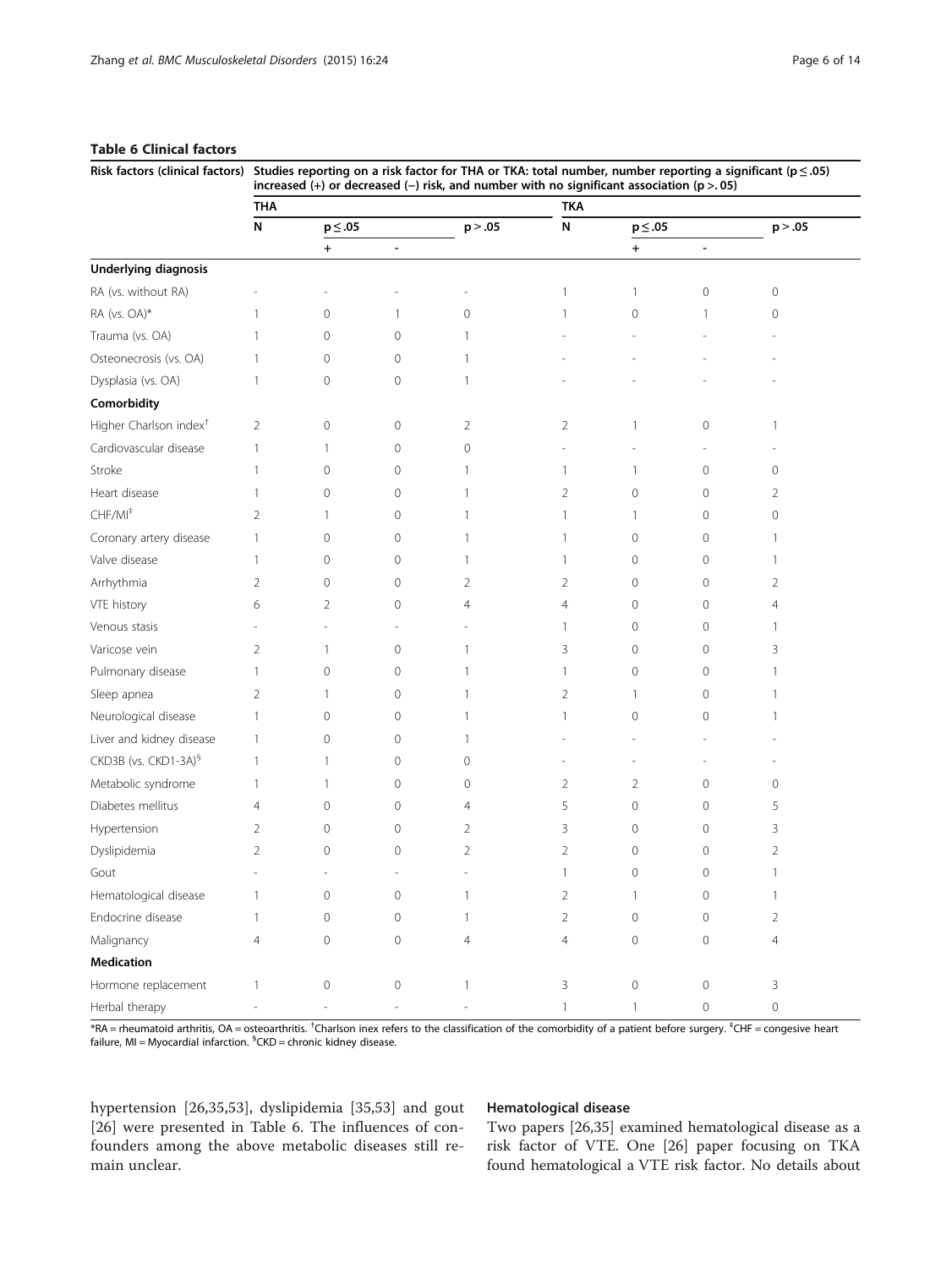## <span id="page-5-0"></span>Table 6 Clinical factors

|                                    | Risk factors (clinical factors) Studies reporting on a risk factor for THA or TKA: total number, number reporting a significant (p ≤.05)<br>increased (+) or decreased (-) risk, and number with no significant association ( $p > 05$ ) |                     |                     |                |                |              |                     |                     |  |  |
|------------------------------------|------------------------------------------------------------------------------------------------------------------------------------------------------------------------------------------------------------------------------------------|---------------------|---------------------|----------------|----------------|--------------|---------------------|---------------------|--|--|
|                                    | <b>THA</b>                                                                                                                                                                                                                               |                     |                     |                | <b>TKA</b>     |              |                     |                     |  |  |
|                                    | N                                                                                                                                                                                                                                        | $p \leq .05$        |                     | p > .05        | N              | $p \leq .05$ |                     | p > .05             |  |  |
|                                    |                                                                                                                                                                                                                                          | $\ddot{}$           |                     |                |                | $\ddot{}$    | $\blacksquare$      |                     |  |  |
| Underlying diagnosis               |                                                                                                                                                                                                                                          |                     |                     |                |                |              |                     |                     |  |  |
| RA (vs. without RA)                |                                                                                                                                                                                                                                          |                     |                     |                |                | $\mathbf{1}$ | $\mathbf 0$         | $\circ$             |  |  |
| RA (vs. OA)*                       | 1                                                                                                                                                                                                                                        | 0                   | 1                   | 0              |                | 0            | $\mathbf{1}$        | 0                   |  |  |
| Trauma (vs. OA)                    | 1                                                                                                                                                                                                                                        | $\mathbf 0$         | $\mathbf 0$         | 1              |                |              |                     |                     |  |  |
| Osteonecrosis (vs. OA)             |                                                                                                                                                                                                                                          | 0                   | $\mathbf{0}$        | 1              |                |              |                     |                     |  |  |
| Dysplasia (vs. OA)                 | 1                                                                                                                                                                                                                                        | $\mathbf 0$         | 0                   | $\mathbf{1}$   |                |              |                     |                     |  |  |
| Comorbidity                        |                                                                                                                                                                                                                                          |                     |                     |                |                |              |                     |                     |  |  |
| Higher Charlson index <sup>t</sup> | $\overline{2}$                                                                                                                                                                                                                           | $\mathbf 0$         | 0                   | 2              | 2              | -1           | $\mathbf 0$         |                     |  |  |
| Cardiovascular disease             | 1                                                                                                                                                                                                                                        | 1                   | 0                   | $\mathbf 0$    |                |              |                     |                     |  |  |
| Stroke                             | 1                                                                                                                                                                                                                                        | $\mathbf 0$         | 0                   | 1              | 1              | -1           | $\mathbf 0$         | 0                   |  |  |
| Heart disease                      | 1                                                                                                                                                                                                                                        | 0                   | 0                   | 1              | 2              | $\mathbf{0}$ | $\mathbf 0$         | 2                   |  |  |
| $CHF/MI^*$                         | $\overline{2}$                                                                                                                                                                                                                           | $\mathbf{1}$        | 0                   | -1             | 1              | $\mathbf{1}$ | $\mathbf 0$         | $\mathbf{0}$        |  |  |
| Coronary artery disease            | 1                                                                                                                                                                                                                                        | 0                   | 0                   |                | 1              | 0            | $\mathbf 0$         |                     |  |  |
| Valve disease                      | 1                                                                                                                                                                                                                                        | 0                   | 0                   |                | 1              | $\mathbf{0}$ | $\mathbf{0}$        |                     |  |  |
| Arrhythmia                         | $\overline{2}$                                                                                                                                                                                                                           | 0                   | 0                   | 2              | 2              | $\mathbf{0}$ | $\mathbf{0}$        | 2                   |  |  |
| VTE history                        | 6                                                                                                                                                                                                                                        | 2                   | 0                   | 4              | 4              | 0            | $\mathbf 0$         | 4                   |  |  |
| Venous stasis                      |                                                                                                                                                                                                                                          |                     |                     |                | 1              | 0            | $\mathbf 0$         | 1.                  |  |  |
| Varicose vein                      | $\overline{2}$                                                                                                                                                                                                                           | $\mathbf{1}$        | 0                   | 1              | 3              | $\mathbf{0}$ | $\mathbf 0$         | 3                   |  |  |
| Pulmonary disease                  | 1                                                                                                                                                                                                                                        | $\mathbf 0$         | 0                   | 1              | 1              | 0            | $\mathbf 0$         |                     |  |  |
| Sleep apnea                        | $\overline{2}$                                                                                                                                                                                                                           | 1                   | 0                   |                | 2              | -1           | $\mathbf{0}$        |                     |  |  |
| Neurological disease               | 1                                                                                                                                                                                                                                        | 0                   | 0                   |                | 1              | $\mathbf{0}$ | $\overline{0}$      |                     |  |  |
| Liver and kidney disease           | 1                                                                                                                                                                                                                                        | $\mathbf 0$         | 0                   |                |                |              |                     |                     |  |  |
| CKD3B (vs. CKD1-3A) <sup>§</sup>   | 1                                                                                                                                                                                                                                        | 1                   | 0                   | $\circ$        |                |              |                     |                     |  |  |
| Metabolic syndrome                 | 1                                                                                                                                                                                                                                        | $\mathbf{1}$        | 0                   | $\mathbf{0}$   | 2              | 2            | $\mathbf 0$         | $\mathbf{0}$        |  |  |
| Diabetes mellitus                  | 4                                                                                                                                                                                                                                        | $\mathbf 0$         | 0                   | 4              | 5              | 0            | $\mathbf{0}$        | 5                   |  |  |
| Hypertension                       | 2                                                                                                                                                                                                                                        | 0                   | $\mathbf{0}$        | 2              | 3              | $\mathbf{0}$ | $\mathbf{0}$        | 3                   |  |  |
| Dyslipidemia                       | $\overline{2}$                                                                                                                                                                                                                           | 0                   | 0                   | 2              | $\overline{2}$ | $\mathbf{0}$ | $\mathbf 0$         | $\overline{2}$      |  |  |
| Gout                               |                                                                                                                                                                                                                                          |                     |                     |                | 1              | $\Omega$     | $\mathbf 0$         | 1                   |  |  |
| Hematological disease              |                                                                                                                                                                                                                                          | 0                   | 0                   | 1              | $\overline{2}$ | $\mathbf{1}$ | $\mathbf 0$         | 1                   |  |  |
| Endocrine disease                  | 1                                                                                                                                                                                                                                        | $\mathbf 0$         | 0                   | $\mathbf{1}$   | $\overline{2}$ | $\mathbf 0$  | $\circ$             | $\overline{2}$      |  |  |
| Malignancy                         | $\overline{4}$                                                                                                                                                                                                                           | $\mathbf 0$         | $\mathsf{O}\xspace$ | $\overline{4}$ | $\overline{4}$ | $\mathbf 0$  | $\circ$             | $\overline{4}$      |  |  |
| <b>Medication</b>                  |                                                                                                                                                                                                                                          |                     |                     |                |                |              |                     |                     |  |  |
| Hormone replacement                | $\mathbf{1}$                                                                                                                                                                                                                             | $\mathsf{O}\xspace$ | $\,0\,$             | $\mathbf{1}$   | 3              | $\circ$      | $\mathbb O$         | 3                   |  |  |
| Herbal therapy                     |                                                                                                                                                                                                                                          |                     |                     |                | $\overline{1}$ | $\mathbf{1}$ | $\mathsf{O}\xspace$ | $\mathsf{O}\xspace$ |  |  |

 $^*$ RA = rheumatoid arthritis, OA = osteoarthritis.  $^{\dagger}$ Charlson inex refers to the classification of the comorbidity of a patient before surgery.  $^{\dagger}$ CHF = congesive heart failure, MI = Myocardial infarction. <sup>§</sup>CKD = chronic kidney disease.

hypertension [\[26](#page-12-0),[35,53\]](#page-12-0), dyslipidemia [\[35](#page-12-0),[53\]](#page-12-0) and gout [[26\]](#page-12-0) were presented in Table 6. The influences of confounders among the above metabolic diseases still remain unclear.

## Hematological disease

Two papers [[26](#page-12-0),[35](#page-12-0)] examined hematological disease as a risk factor of VTE. One [[26\]](#page-12-0) paper focusing on TKA found hematological a VTE risk factor. No details about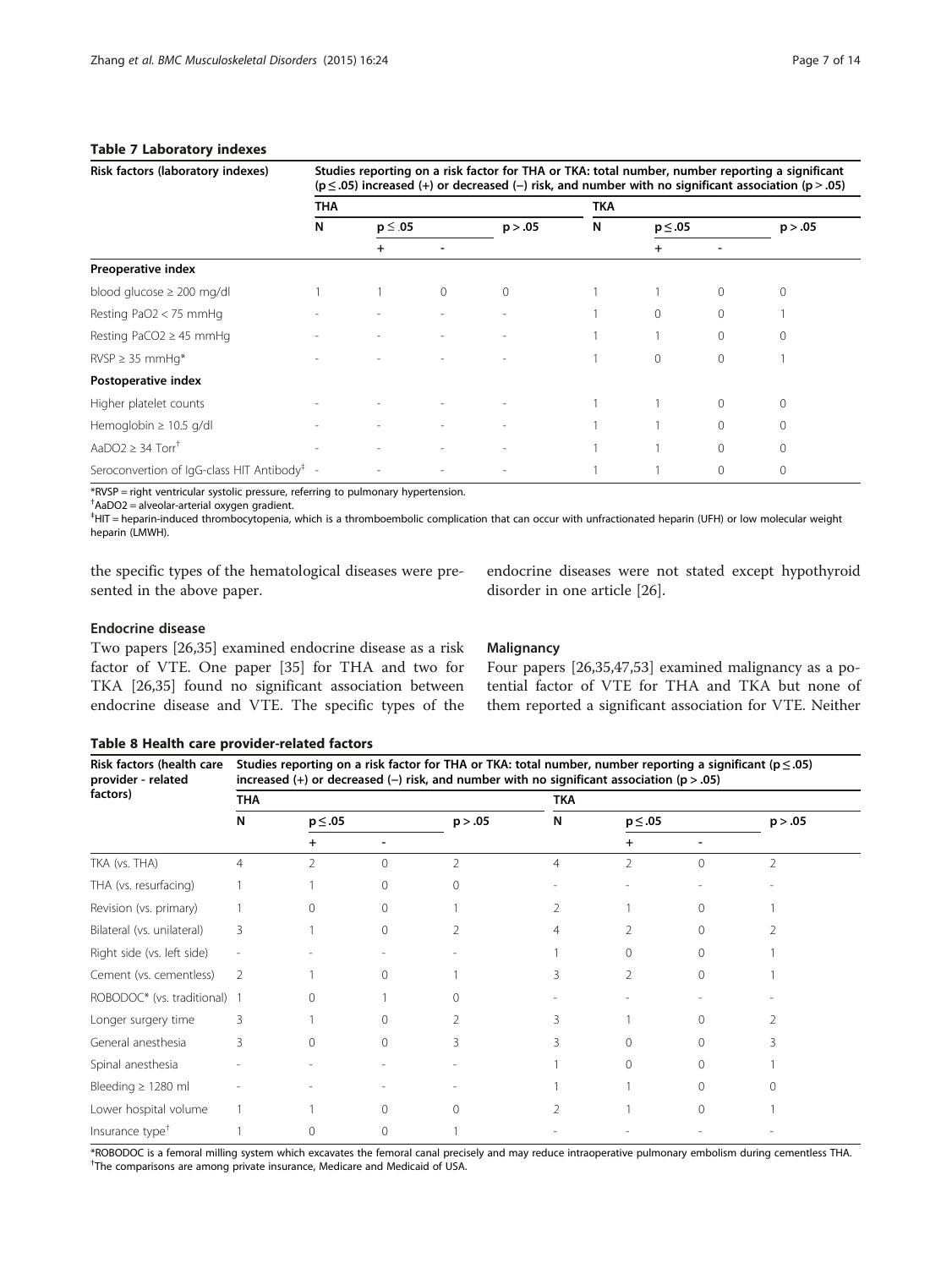## <span id="page-6-0"></span>Table 7 Laboratory indexes

| Risk factors (laboratory indexes)                       | Studies reporting on a risk factor for THA or TKA: total number, number reporting a significant<br>$(p \le .05)$ increased (+) or decreased (-) risk, and number with no significant association (p > .05) |              |              |             |            |              |          |         |  |
|---------------------------------------------------------|------------------------------------------------------------------------------------------------------------------------------------------------------------------------------------------------------------|--------------|--------------|-------------|------------|--------------|----------|---------|--|
|                                                         | <b>THA</b>                                                                                                                                                                                                 |              |              |             | <b>TKA</b> |              |          |         |  |
|                                                         | N                                                                                                                                                                                                          | $p \leq .05$ |              | p > .05     | N          | $p \leq .05$ |          | p > .05 |  |
|                                                         |                                                                                                                                                                                                            | $\pm$        |              |             |            | $\ddot{}$    |          |         |  |
| Preoperative index                                      |                                                                                                                                                                                                            |              |              |             |            |              |          |         |  |
| blood glucose $\geq 200$ mg/dl                          |                                                                                                                                                                                                            |              | $\mathbf{0}$ | $\mathbf 0$ |            |              | $\Omega$ | 0       |  |
| Resting $PaO2 < 75$ mmHg                                |                                                                                                                                                                                                            |              |              |             |            | $\Omega$     | $\Omega$ |         |  |
| Resting PaCO2 $\geq$ 45 mmHg                            |                                                                                                                                                                                                            |              |              |             |            |              | $\Omega$ | 0       |  |
| $RVSP \geq 35$ mmHq*                                    |                                                                                                                                                                                                            |              |              |             |            | $\Omega$     | $\Omega$ |         |  |
| Postoperative index                                     |                                                                                                                                                                                                            |              |              |             |            |              |          |         |  |
| Higher platelet counts                                  |                                                                                                                                                                                                            |              |              |             |            |              | $\Omega$ | 0       |  |
| Hemoglobin $\geq 10.5$ g/dl                             |                                                                                                                                                                                                            |              |              |             |            |              | $\Omega$ | 0       |  |
| AaDO2 $\geq$ 34 Torr <sup>†</sup>                       |                                                                                                                                                                                                            |              |              |             |            |              | $\cap$   | 0       |  |
| Seroconvertion of IgG-class HIT Antibody <sup>#</sup> - |                                                                                                                                                                                                            |              |              |             |            |              | $\Omega$ | 0       |  |

\*RVSP = right ventricular systolic pressure, referring to pulmonary hypertension.

† AaDO2 = alveolar-arterial oxygen gradient.

‡ HIT = heparin-induced thrombocytopenia, which is a thromboembolic complication that can occur with unfractionated heparin (UFH) or low molecular weight heparin (LMWH).

the specific types of the hematological diseases were presented in the above paper.

endocrine diseases were not stated except hypothyroid disorder in one article [\[26](#page-12-0)].

## Endocrine disease

Two papers [\[26,35\]](#page-12-0) examined endocrine disease as a risk factor of VTE. One paper [[35\]](#page-12-0) for THA and two for TKA [\[26,35\]](#page-12-0) found no significant association between endocrine disease and VTE. The specific types of the

## **Malignancy**

Four papers [[26,35,47,53](#page-12-0)] examined malignancy as a potential factor of VTE for THA and TKA but none of them reported a significant association for VTE. Neither

## Table 8 Health care provider-related factors

| Risk factors (health care<br>provider - related | Studies reporting on a risk factor for THA or TKA: total number, number reporting a significant ( $p \le 0.05$ )<br>increased (+) or decreased (-) risk, and number with no significant association ( $p > .05$ ) |              |          |         |            |              |          |         |  |  |  |
|-------------------------------------------------|-------------------------------------------------------------------------------------------------------------------------------------------------------------------------------------------------------------------|--------------|----------|---------|------------|--------------|----------|---------|--|--|--|
| factors)                                        | <b>THA</b>                                                                                                                                                                                                        |              |          |         | <b>TKA</b> |              |          |         |  |  |  |
|                                                 | N                                                                                                                                                                                                                 | $p \leq .05$ |          | p > .05 | N          | $p \leq .05$ |          | p > .05 |  |  |  |
|                                                 |                                                                                                                                                                                                                   |              |          |         |            | ٠            |          |         |  |  |  |
| TKA (vs. THA)                                   | 4                                                                                                                                                                                                                 |              | $\Omega$ | 2       | 4          | 2            | $\Omega$ | 2       |  |  |  |
| THA (vs. resurfacing)                           |                                                                                                                                                                                                                   |              | 0        | Ω       |            |              |          |         |  |  |  |
| Revision (vs. primary)                          |                                                                                                                                                                                                                   | 0            | 0        |         |            |              | 0        |         |  |  |  |
| Bilateral (vs. unilateral)                      | 3                                                                                                                                                                                                                 |              | $\Omega$ |         |            |              | $\Omega$ |         |  |  |  |
| Right side (vs. left side)                      |                                                                                                                                                                                                                   |              |          |         |            |              | $\Omega$ |         |  |  |  |
| Cement (vs. cementless)                         | $\overline{2}$                                                                                                                                                                                                    |              | 0        |         |            |              |          |         |  |  |  |
| ROBODOC* (vs. traditional)                      |                                                                                                                                                                                                                   | ∩            |          |         |            |              |          |         |  |  |  |
| Longer surgery time                             | 3                                                                                                                                                                                                                 |              | U        |         |            |              | $\Omega$ |         |  |  |  |
| General anesthesia                              | 3                                                                                                                                                                                                                 | $\Omega$     | $\Omega$ | 3       |            |              | $\Omega$ |         |  |  |  |
| Spinal anesthesia                               |                                                                                                                                                                                                                   |              |          |         |            |              | ∩        |         |  |  |  |
| Bleeding $\geq 1280$ ml                         |                                                                                                                                                                                                                   |              |          |         |            |              |          |         |  |  |  |
| Lower hospital volume                           |                                                                                                                                                                                                                   |              |          |         |            |              | Ω        |         |  |  |  |
| Insurance type <sup>T</sup>                     |                                                                                                                                                                                                                   | Ω            | 0        |         |            |              |          |         |  |  |  |

\*ROBODOC is a femoral milling system which excavates the femoral canal precisely and may reduce intraoperative pulmonary embolism during cementless THA. † The comparisons are among private insurance, Medicare and Medicaid of USA.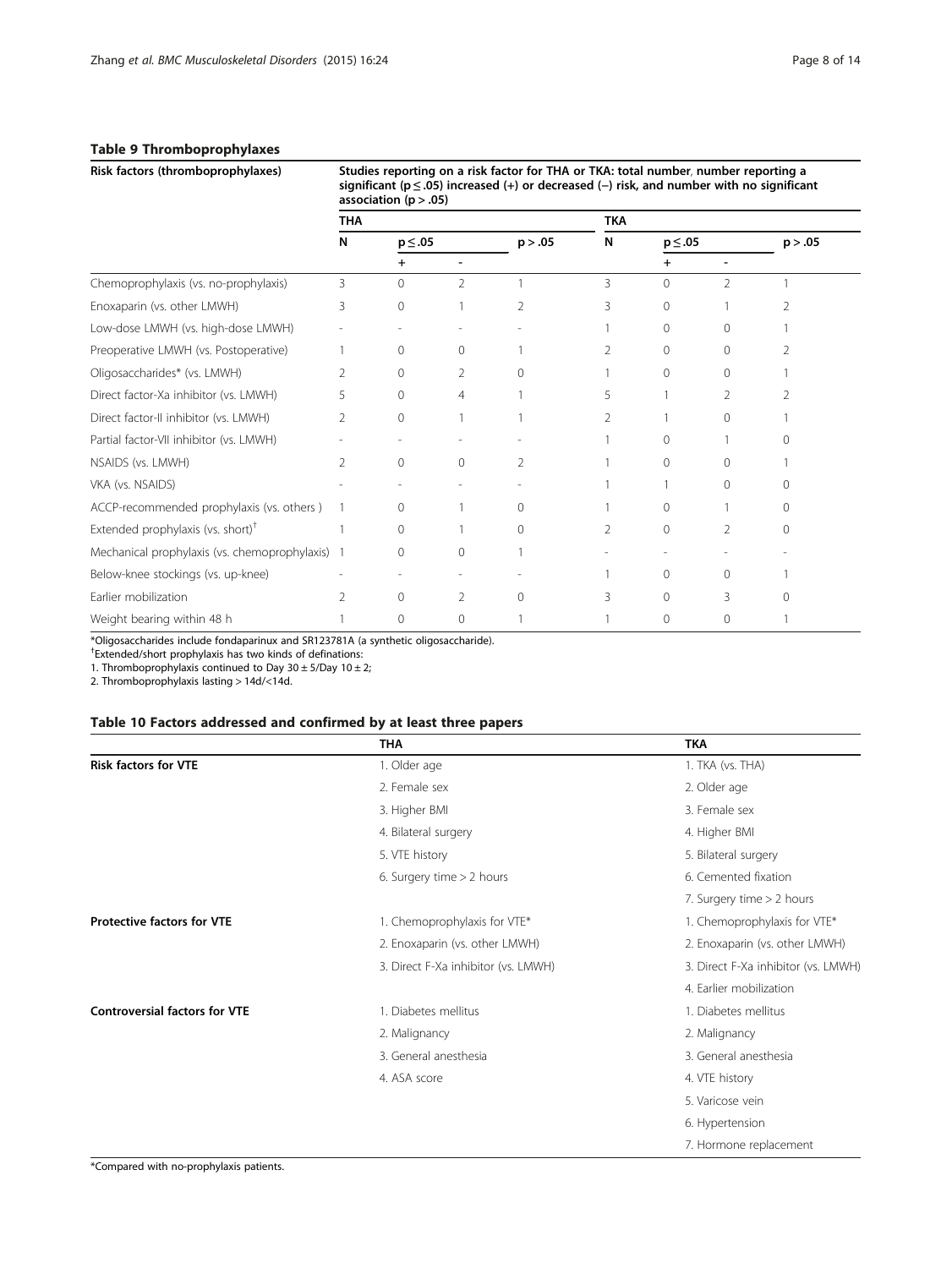## <span id="page-7-0"></span>Table 9 Thromboprophylaxes

Risk factors (thromboprophylaxes) Studies reporting on a risk factor for THA or TKA: total number, number reporting a significant (p ≤ .05) increased (+) or decreased (-) risk, and number with no significant association  $(p > .05)$ 

|                                                 | <b>THA</b>     |              |                |          | <b>TKA</b>    |              |                              |          |
|-------------------------------------------------|----------------|--------------|----------------|----------|---------------|--------------|------------------------------|----------|
|                                                 | N              | $p \leq .05$ |                | p > .05  | N             | $p \leq .05$ |                              | p > .05  |
|                                                 |                | +            |                |          |               |              | $\qquad \qquad \blacksquare$ |          |
| Chemoprophylaxis (vs. no-prophylaxis)           | 3              | 0            | $\overline{2}$ |          | 3             | $\Omega$     | $\mathfrak{D}$               |          |
| Enoxaparin (vs. other LMWH)                     | 3              | 0            |                | 2        | 3             | $\Omega$     |                              | 2        |
| Low-dose LMWH (vs. high-dose LMWH)              |                |              |                |          |               | $\Omega$     | $\Omega$                     |          |
| Preoperative LMWH (vs. Postoperative)           |                | $\Omega$     | 0              |          | 2             | $\Omega$     | 0                            | 2        |
| Oligosaccharides* (vs. LMWH)                    | $\mathfrak{D}$ | $\Omega$     | $\overline{2}$ | $\Omega$ |               | $\Omega$     | 0                            |          |
| Direct factor-Xa inhibitor (vs. LMWH)           | 5              | $\mathbf{0}$ | $\overline{4}$ |          | 5             |              | 2                            | 2        |
| Direct factor-II inhibitor (vs. LMWH)           | $\mathfrak{D}$ | $\mathbf{0}$ |                |          | $\mathcal{P}$ |              | $\Omega$                     |          |
| Partial factor-VII inhibitor (vs. LMWH)         |                |              |                |          |               | $\Omega$     |                              | $\Omega$ |
| NSAIDS (vs. LMWH)                               | 2              | $\mathbf{0}$ | $\Omega$       | 2        |               | $\Omega$     | $\Omega$                     |          |
| VKA (vs. NSAIDS)                                |                |              |                |          |               |              | 0                            | $\Omega$ |
| ACCP-recommended prophylaxis (vs. others)       |                | 0            |                | $\Omega$ |               | $\Omega$     |                              | $\Omega$ |
| Extended prophylaxis (vs. short) <sup>†</sup>   |                | $\mathbf{0}$ |                | $\Omega$ | 2             | $\mathbf{0}$ | 2                            | $\Omega$ |
| Mechanical prophylaxis (vs. chemoprophylaxis) 1 |                | $\mathbf{0}$ | 0              |          |               |              |                              |          |
| Below-knee stockings (vs. up-knee)              |                |              |                |          |               | $\Omega$     | 0                            |          |
| Earlier mobilization                            | 2              | $\Omega$     | C,             | $\Omega$ | 3             | $\Omega$     | ζ                            | $\Omega$ |
| Weight bearing within 48 h                      |                | $\Omega$     | 0              |          |               | $\Omega$     | 0                            |          |

\*Oligosaccharides include fondaparinux and SR123781A (a synthetic oligosaccharide).

† Extended/short prophylaxis has two kinds of definations:

1. Thromboprophylaxis continued to Day  $30 \pm 5$ /Day  $10 \pm 2$ ;

2. Thromboprophylaxis lasting > 14d/<14d.

#### Table 10 Factors addressed and confirmed by at least three papers

|                                      | <b>THA</b>                          | <b>TKA</b>                          |
|--------------------------------------|-------------------------------------|-------------------------------------|
| <b>Risk factors for VTE</b>          | 1. Older age                        | 1. TKA (vs. THA)                    |
|                                      | 2. Female sex                       | 2. Older age                        |
|                                      | 3. Higher BMI                       | 3. Female sex                       |
|                                      | 4. Bilateral surgery                | 4. Higher BMI                       |
|                                      | 5. VTE history                      | 5. Bilateral surgery                |
|                                      | 6. Surgery time > 2 hours           | 6. Cemented fixation                |
|                                      |                                     | 7. Surgery time > 2 hours           |
| <b>Protective factors for VTE</b>    | 1. Chemoprophylaxis for VTE*        | 1. Chemoprophylaxis for VTE*        |
|                                      | 2. Enoxaparin (vs. other LMWH)      | 2. Enoxaparin (vs. other LMWH)      |
|                                      | 3. Direct F-Xa inhibitor (vs. LMWH) | 3. Direct F-Xa inhibitor (vs. LMWH) |
|                                      |                                     | 4. Farlier mobilization             |
| <b>Controversial factors for VTE</b> | 1. Diabetes mellitus                | 1. Diabetes mellitus                |
|                                      | 2. Malignancy                       | 2. Malignancy                       |
|                                      | 3. General anesthesia               | 3. General anesthesia               |
|                                      | 4. ASA score                        | 4. VTE history                      |
|                                      |                                     | 5. Varicose vein                    |
|                                      |                                     | 6. Hypertension                     |
|                                      |                                     | 7. Hormone replacement              |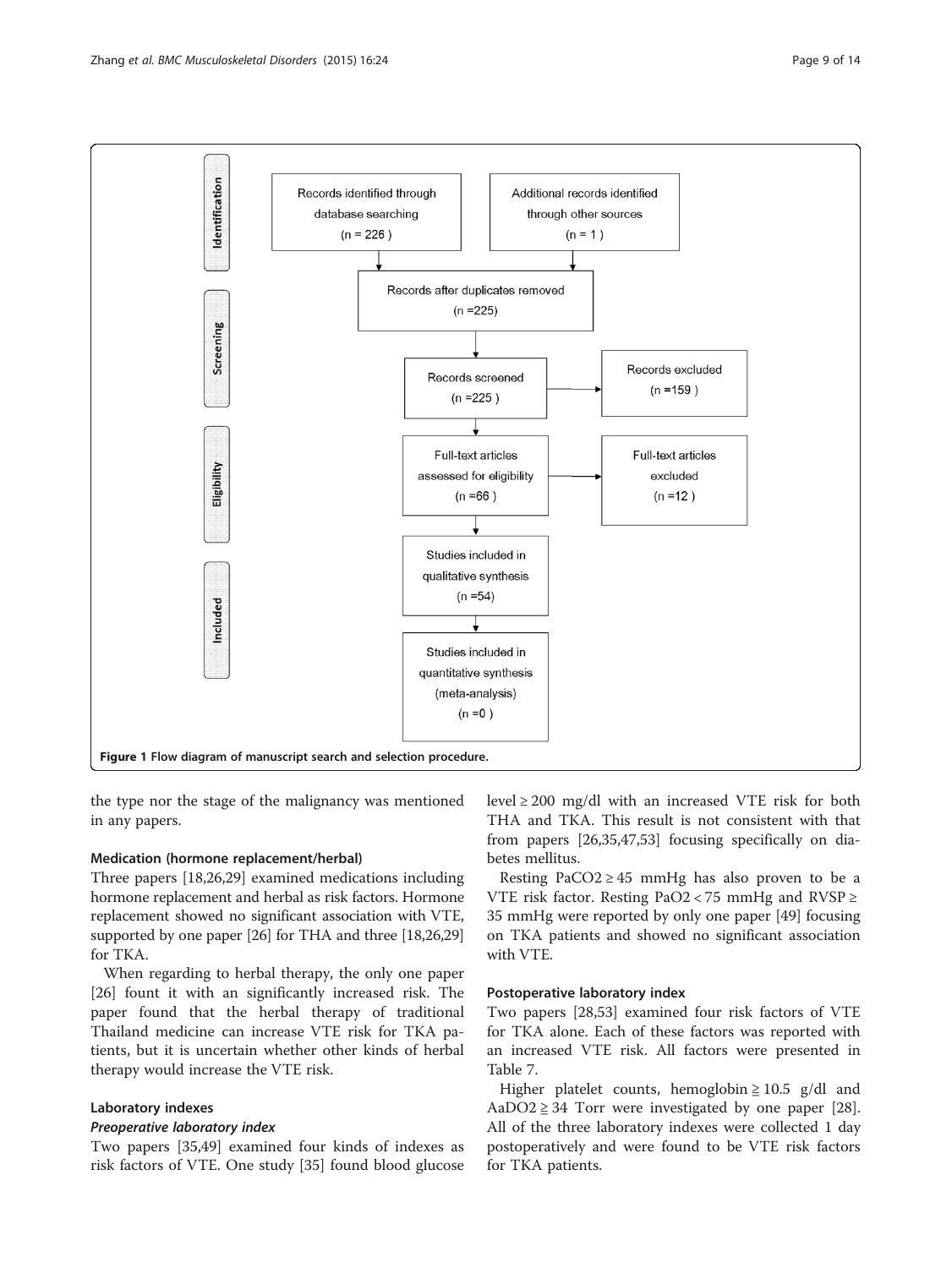

<span id="page-8-0"></span>

the type nor the stage of the malignancy was mentioned in any papers.

## Medication (hormone replacement/herbal)

Three papers [\[18,26,29\]](#page-12-0) examined medications including hormone replacement and herbal as risk factors. Hormone replacement showed no significant association with VTE, supported by one paper [\[26\]](#page-12-0) for THA and three [\[18,26,29](#page-12-0)] for TKA.

When regarding to herbal therapy, the only one paper [[26\]](#page-12-0) fount it with an significantly increased risk. The paper found that the herbal therapy of traditional Thailand medicine can increase VTE risk for TKA patients, but it is uncertain whether other kinds of herbal therapy would increase the VTE risk.

## Laboratory indexes

## Preoperative laboratory index

Two papers [[35,49\]](#page-12-0) examined four kinds of indexes as risk factors of VTE. One study [\[35](#page-12-0)] found blood glucose level ≥ 200 mg/dl with an increased VTE risk for both THA and TKA. This result is not consistent with that from papers [[26](#page-12-0),[35](#page-12-0),[47](#page-12-0),[53](#page-12-0)] focusing specifically on diabetes mellitus.

Resting PaCO2 ≥ 45 mmHg has also proven to be a VTE risk factor. Resting PaO2 < 75 mmHg and RVSP  $\ge$ 35 mmHg were reported by only one paper [[49](#page-12-0)] focusing on TKA patients and showed no significant association with VTE.

## Postoperative laboratory index

Two papers [[28,53\]](#page-12-0) examined four risk factors of VTE for TKA alone. Each of these factors was reported with an increased VTE risk. All factors were presented in Table [7.](#page-6-0)

Higher platelet counts, hemoglobin  $\geq 10.5$  g/dl and AaDO2  $\geq$  34 Torr were investigated by one paper [\[28](#page-12-0)]. All of the three laboratory indexes were collected 1 day postoperatively and were found to be VTE risk factors for TKA patients.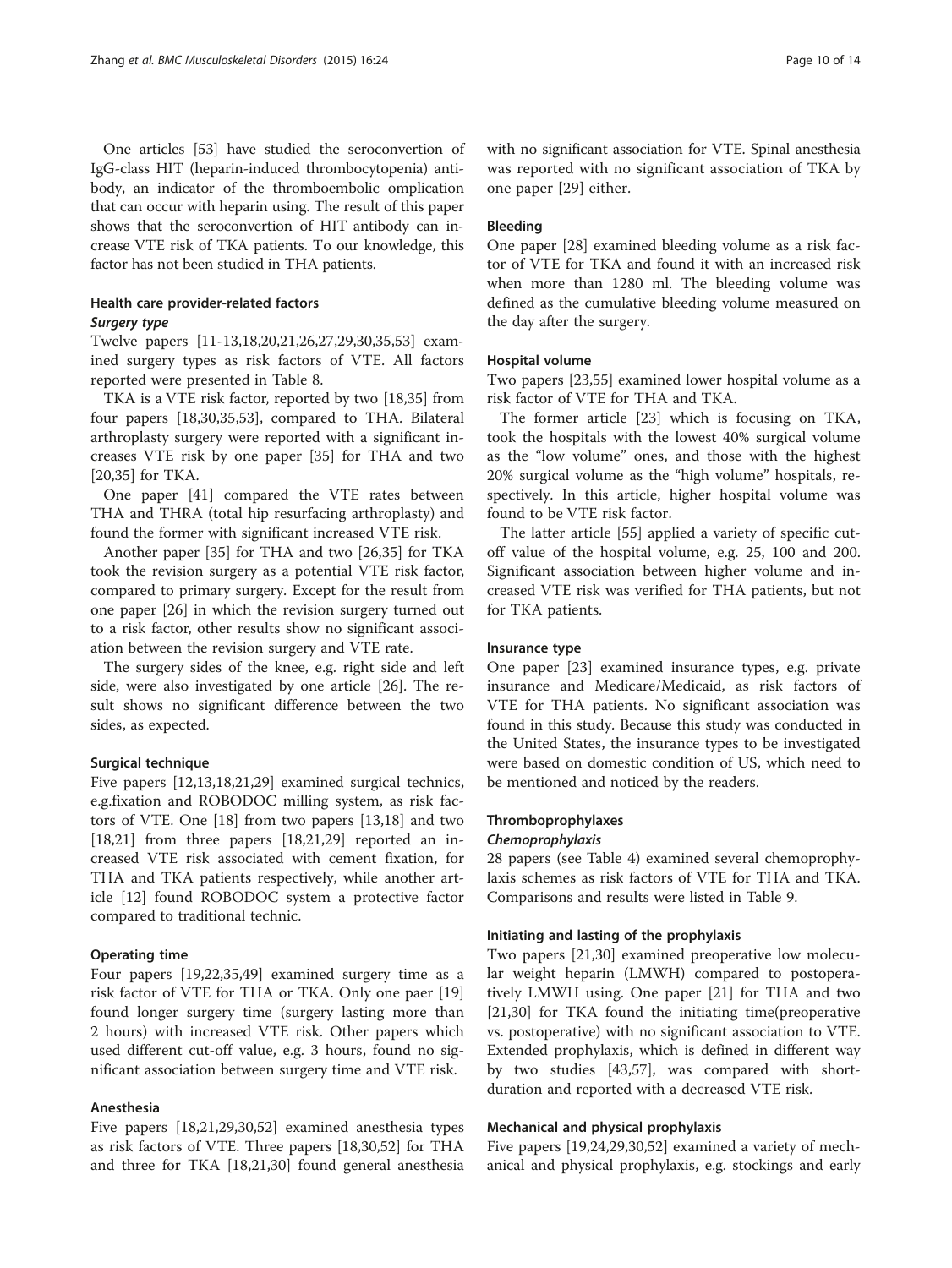One articles [[53\]](#page-12-0) have studied the seroconvertion of IgG-class HIT (heparin-induced thrombocytopenia) antibody, an indicator of the thromboembolic omplication that can occur with heparin using. The result of this paper shows that the seroconvertion of HIT antibody can increase VTE risk of TKA patients. To our knowledge, this factor has not been studied in THA patients.

#### Health care provider-related factors

#### Surgery type

Twelve papers [\[11](#page-11-0)[-13,18,20,21,26,27,29,30,35,53\]](#page-12-0) examined surgery types as risk factors of VTE. All factors reported were presented in Table [8](#page-6-0).

TKA is a VTE risk factor, reported by two [[18,35\]](#page-12-0) from four papers [[18](#page-12-0),[30,35,53](#page-12-0)], compared to THA. Bilateral arthroplasty surgery were reported with a significant increases VTE risk by one paper [[35](#page-12-0)] for THA and two [[20,35\]](#page-12-0) for TKA.

One paper [[41\]](#page-12-0) compared the VTE rates between THA and THRA (total hip resurfacing arthroplasty) and found the former with significant increased VTE risk.

Another paper [\[35](#page-12-0)] for THA and two [\[26,35\]](#page-12-0) for TKA took the revision surgery as a potential VTE risk factor, compared to primary surgery. Except for the result from one paper [[26\]](#page-12-0) in which the revision surgery turned out to a risk factor, other results show no significant association between the revision surgery and VTE rate.

The surgery sides of the knee, e.g. right side and left side, were also investigated by one article [\[26](#page-12-0)]. The result shows no significant difference between the two sides, as expected.

#### Surgical technique

Five papers [\[12,13,18,21,29\]](#page-12-0) examined surgical technics, e.g.fixation and ROBODOC milling system, as risk factors of VTE. One [\[18](#page-12-0)] from two papers [\[13,18](#page-12-0)] and two [[18,21\]](#page-12-0) from three papers [\[18,21,29](#page-12-0)] reported an increased VTE risk associated with cement fixation, for THA and TKA patients respectively, while another article [[12\]](#page-12-0) found ROBODOC system a protective factor compared to traditional technic.

#### Operating time

Four papers [[19,22,35,49\]](#page-12-0) examined surgery time as a risk factor of VTE for THA or TKA. Only one paer [[19](#page-12-0)] found longer surgery time (surgery lasting more than 2 hours) with increased VTE risk. Other papers which used different cut-off value, e.g. 3 hours, found no significant association between surgery time and VTE risk.

## Anesthesia

Five papers [[18,21,29,30,52\]](#page-12-0) examined anesthesia types as risk factors of VTE. Three papers [\[18,30,52\]](#page-12-0) for THA and three for TKA [\[18,21,30](#page-12-0)] found general anesthesia with no significant association for VTE. Spinal anesthesia was reported with no significant association of TKA by one paper [\[29](#page-12-0)] either.

#### Bleeding

One paper [\[28\]](#page-12-0) examined bleeding volume as a risk factor of VTE for TKA and found it with an increased risk when more than 1280 ml. The bleeding volume was defined as the cumulative bleeding volume measured on the day after the surgery.

#### Hospital volume

Two papers [\[23,](#page-12-0)[55\]](#page-13-0) examined lower hospital volume as a risk factor of VTE for THA and TKA.

The former article [[23\]](#page-12-0) which is focusing on TKA, took the hospitals with the lowest 40% surgical volume as the "low volume" ones, and those with the highest 20% surgical volume as the "high volume" hospitals, respectively. In this article, higher hospital volume was found to be VTE risk factor.

The latter article [\[55\]](#page-13-0) applied a variety of specific cutoff value of the hospital volume, e.g. 25, 100 and 200. Significant association between higher volume and increased VTE risk was verified for THA patients, but not for TKA patients.

#### Insurance type

One paper [[23\]](#page-12-0) examined insurance types, e.g. private insurance and Medicare/Medicaid, as risk factors of VTE for THA patients. No significant association was found in this study. Because this study was conducted in the United States, the insurance types to be investigated were based on domestic condition of US, which need to be mentioned and noticed by the readers.

#### Thromboprophylaxes

#### Chemoprophylaxis

28 papers (see Table [4\)](#page-3-0) examined several chemoprophylaxis schemes as risk factors of VTE for THA and TKA. Comparisons and results were listed in Table [9.](#page-7-0)

#### Initiating and lasting of the prophylaxis

Two papers [[21,30](#page-12-0)] examined preoperative low molecular weight heparin (LMWH) compared to postoperatively LMWH using. One paper [\[21](#page-12-0)] for THA and two [[21,30\]](#page-12-0) for TKA found the initiating time(preoperative vs. postoperative) with no significant association to VTE. Extended prophylaxis, which is defined in different way by two studies [\[43](#page-12-0)[,57](#page-13-0)], was compared with shortduration and reported with a decreased VTE risk.

#### Mechanical and physical prophylaxis

Five papers [\[19,24,29,30,52\]](#page-12-0) examined a variety of mechanical and physical prophylaxis, e.g. stockings and early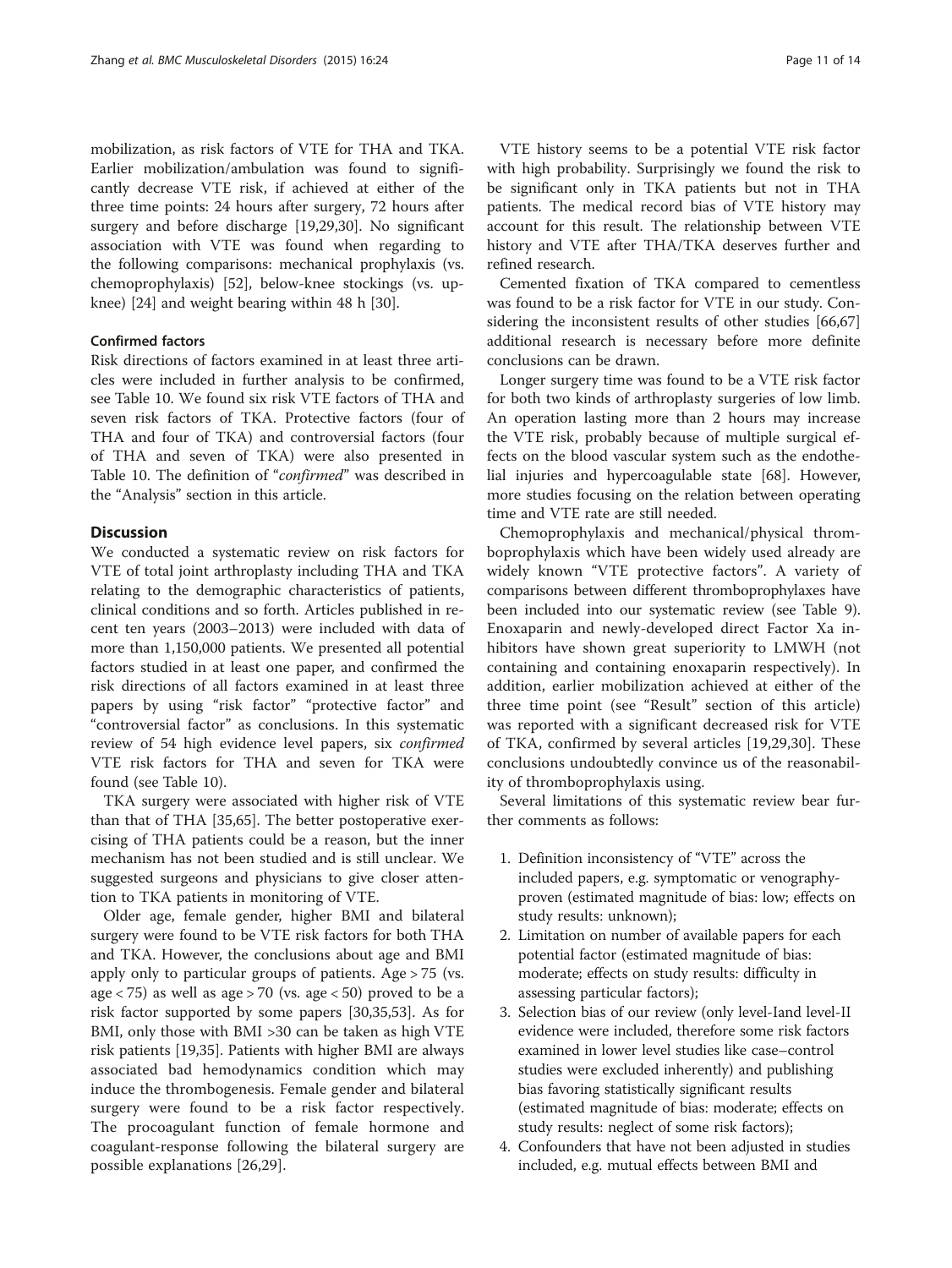mobilization, as risk factors of VTE for THA and TKA. Earlier mobilization/ambulation was found to significantly decrease VTE risk, if achieved at either of the three time points: 24 hours after surgery, 72 hours after surgery and before discharge [[19](#page-12-0),[29](#page-12-0),[30](#page-12-0)]. No significant association with VTE was found when regarding to the following comparisons: mechanical prophylaxis (vs. chemoprophylaxis) [[52\]](#page-12-0), below-knee stockings (vs. upknee) [\[24\]](#page-12-0) and weight bearing within 48 h [\[30\]](#page-12-0).

#### Confirmed factors

Risk directions of factors examined in at least three articles were included in further analysis to be confirmed, see Table [10.](#page-7-0) We found six risk VTE factors of THA and seven risk factors of TKA. Protective factors (four of THA and four of TKA) and controversial factors (four of THA and seven of TKA) were also presented in Table [10.](#page-7-0) The definition of "confirmed" was described in the "[Analysis](#page-1-0)" section in this article.

## **Discussion**

We conducted a systematic review on risk factors for VTE of total joint arthroplasty including THA and TKA relating to the demographic characteristics of patients, clinical conditions and so forth. Articles published in recent ten years (2003–2013) were included with data of more than 1,150,000 patients. We presented all potential factors studied in at least one paper, and confirmed the risk directions of all factors examined in at least three papers by using "risk factor" "protective factor" and "controversial factor" as conclusions. In this systematic review of 54 high evidence level papers, six confirmed VTE risk factors for THA and seven for TKA were found (see Table [10\)](#page-7-0).

TKA surgery were associated with higher risk of VTE than that of THA [[35,](#page-12-0)[65](#page-13-0)]. The better postoperative exercising of THA patients could be a reason, but the inner mechanism has not been studied and is still unclear. We suggested surgeons and physicians to give closer attention to TKA patients in monitoring of VTE.

Older age, female gender, higher BMI and bilateral surgery were found to be VTE risk factors for both THA and TKA. However, the conclusions about age and BMI apply only to particular groups of patients. Age > 75 (vs. age  $\langle 75 \rangle$  as well as age  $> 70$  (vs. age  $\langle 50 \rangle$  proved to be a risk factor supported by some papers [\[30,35,53\]](#page-12-0). As for BMI, only those with BMI >30 can be taken as high VTE risk patients [[19,35\]](#page-12-0). Patients with higher BMI are always associated bad hemodynamics condition which may induce the thrombogenesis. Female gender and bilateral surgery were found to be a risk factor respectively. The procoagulant function of female hormone and coagulant-response following the bilateral surgery are possible explanations [\[26](#page-12-0),[29\]](#page-12-0).

VTE history seems to be a potential VTE risk factor with high probability. Surprisingly we found the risk to be significant only in TKA patients but not in THA patients. The medical record bias of VTE history may account for this result. The relationship between VTE history and VTE after THA/TKA deserves further and refined research.

Cemented fixation of TKA compared to cementless was found to be a risk factor for VTE in our study. Considering the inconsistent results of other studies [[66](#page-13-0),[67](#page-13-0)] additional research is necessary before more definite conclusions can be drawn.

Longer surgery time was found to be a VTE risk factor for both two kinds of arthroplasty surgeries of low limb. An operation lasting more than 2 hours may increase the VTE risk, probably because of multiple surgical effects on the blood vascular system such as the endothelial injuries and hypercoagulable state [[68](#page-13-0)]. However, more studies focusing on the relation between operating time and VTE rate are still needed.

Chemoprophylaxis and mechanical/physical thromboprophylaxis which have been widely used already are widely known "VTE protective factors". A variety of comparisons between different thromboprophylaxes have been included into our systematic review (see Table [9](#page-7-0)). Enoxaparin and newly-developed direct Factor Xa inhibitors have shown great superiority to LMWH (not containing and containing enoxaparin respectively). In addition, earlier mobilization achieved at either of the three time point (see "[Result](#page-2-0)" section of this article) was reported with a significant decreased risk for VTE of TKA, confirmed by several articles [\[19](#page-12-0),[29,30\]](#page-12-0). These conclusions undoubtedly convince us of the reasonability of thromboprophylaxis using.

Several limitations of this systematic review bear further comments as follows:

- 1. Definition inconsistency of "VTE" across the included papers, e.g. symptomatic or venographyproven (estimated magnitude of bias: low; effects on study results: unknown);
- 2. Limitation on number of available papers for each potential factor (estimated magnitude of bias: moderate; effects on study results: difficulty in assessing particular factors);
- 3. Selection bias of our review (only level-Iand level-II evidence were included, therefore some risk factors examined in lower level studies like case–control studies were excluded inherently) and publishing bias favoring statistically significant results (estimated magnitude of bias: moderate; effects on study results: neglect of some risk factors);
- 4. Confounders that have not been adjusted in studies included, e.g. mutual effects between BMI and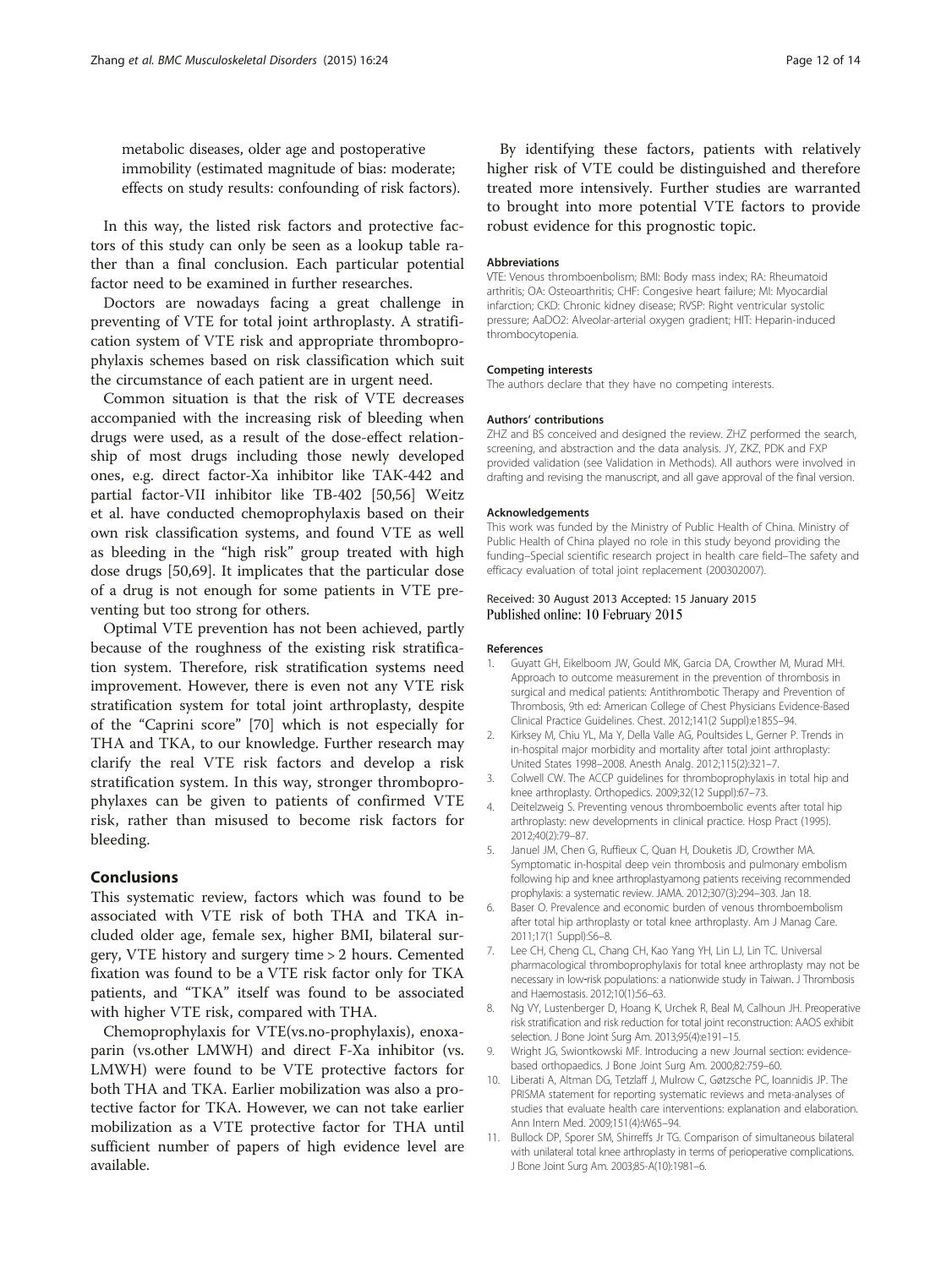<span id="page-11-0"></span>metabolic diseases, older age and postoperative immobility (estimated magnitude of bias: moderate; effects on study results: confounding of risk factors).

In this way, the listed risk factors and protective factors of this study can only be seen as a lookup table rather than a final conclusion. Each particular potential factor need to be examined in further researches.

Doctors are nowadays facing a great challenge in preventing of VTE for total joint arthroplasty. A stratification system of VTE risk and appropriate thromboprophylaxis schemes based on risk classification which suit the circumstance of each patient are in urgent need.

Common situation is that the risk of VTE decreases accompanied with the increasing risk of bleeding when drugs were used, as a result of the dose-effect relationship of most drugs including those newly developed ones, e.g. direct factor-Xa inhibitor like TAK-442 and partial factor-VII inhibitor like TB-402 [\[50](#page-12-0)[,56](#page-13-0)] Weitz et al. have conducted chemoprophylaxis based on their own risk classification systems, and found VTE as well as bleeding in the "high risk" group treated with high dose drugs [\[50,](#page-12-0)[69\]](#page-13-0). It implicates that the particular dose of a drug is not enough for some patients in VTE preventing but too strong for others.

Optimal VTE prevention has not been achieved, partly because of the roughness of the existing risk stratification system. Therefore, risk stratification systems need improvement. However, there is even not any VTE risk stratification system for total joint arthroplasty, despite of the "Caprini score" [[70\]](#page-13-0) which is not especially for THA and TKA, to our knowledge. Further research may clarify the real VTE risk factors and develop a risk stratification system. In this way, stronger thromboprophylaxes can be given to patients of confirmed VTE risk, rather than misused to become risk factors for bleeding.

## **Conclusions**

This systematic review, factors which was found to be associated with VTE risk of both THA and TKA included older age, female sex, higher BMI, bilateral surgery, VTE history and surgery time > 2 hours. Cemented fixation was found to be a VTE risk factor only for TKA patients, and "TKA" itself was found to be associated with higher VTE risk, compared with THA.

Chemoprophylaxis for VTE(vs.no-prophylaxis), enoxaparin (vs.other LMWH) and direct F-Xa inhibitor (vs. LMWH) were found to be VTE protective factors for both THA and TKA. Earlier mobilization was also a protective factor for TKA. However, we can not take earlier mobilization as a VTE protective factor for THA until sufficient number of papers of high evidence level are available.

By identifying these factors, patients with relatively higher risk of VTE could be distinguished and therefore treated more intensively. Further studies are warranted to brought into more potential VTE factors to provide robust evidence for this prognostic topic.

#### Abbreviations

VTE: Venous thromboenbolism; BMI: Body mass index; RA: Rheumatoid arthritis; OA: Osteoarthritis; CHF: Congesive heart failure; MI: Myocardial infarction; CKD: Chronic kidney disease; RVSP: Right ventricular systolic pressure; AaDO2: Alveolar-arterial oxygen gradient; HIT: Heparin-induced thrombocytopenia.

#### Competing interests

The authors declare that they have no competing interests.

#### Authors' contributions

ZHZ and BS conceived and designed the review. ZHZ performed the search, screening, and abstraction and the data analysis. JY, ZKZ, PDK and FXP provided validation (see [Validation](#page-1-0) in Methods). All authors were involved in drafting and revising the manuscript, and all gave approval of the final version.

#### Acknowledgements

This work was funded by the Ministry of Public Health of China. Ministry of Public Health of China played no role in this study beyond providing the funding–Special scientific research project in health care field–The safety and efficacy evaluation of total joint replacement (200302007).

#### Received: 30 August 2013 Accepted: 15 January 2015 Published online: 10 February 2015

#### References

- 1. Guyatt GH, Eikelboom JW, Gould MK, Garcia DA, Crowther M, Murad MH. Approach to outcome measurement in the prevention of thrombosis in surgical and medical patients: Antithrombotic Therapy and Prevention of Thrombosis, 9th ed: American College of Chest Physicians Evidence-Based Clinical Practice Guidelines. Chest. 2012;141(2 Suppl):e185S–94.
- 2. Kirksey M, Chiu YL, Ma Y, Della Valle AG, Poultsides L, Gerner P. Trends in in-hospital major morbidity and mortality after total joint arthroplasty: United States 1998–2008. Anesth Analg. 2012;115(2):321–7.
- 3. Colwell CW. The ACCP guidelines for thromboprophylaxis in total hip and knee arthroplasty. Orthopedics. 2009;32(12 Suppl):67–73.
- 4. Deitelzweig S. Preventing venous thromboembolic events after total hip arthroplasty: new developments in clinical practice. Hosp Pract (1995). 2012;40(2):79–87.
- 5. Januel JM, Chen G, Ruffieux C, Quan H, Douketis JD, Crowther MA. Symptomatic in-hospital deep vein thrombosis and pulmonary embolism following hip and knee arthroplastyamong patients receiving recommended prophylaxis: a systematic review. JAMA. 2012;307(3):294–303. Jan 18.
- 6. Baser O. Prevalence and economic burden of venous thromboembolism after total hip arthroplasty or total knee arthroplasty. Am J Manag Care. 2011;17(1 Suppl):S6–8.
- 7. Lee CH, Cheng CL, Chang CH, Kao Yang YH, Lin LJ, Lin TC. Universal pharmacological thromboprophylaxis for total knee arthroplasty may not be necessary in low-risk populations: a nationwide study in Taiwan. J Thrombosis and Haemostasis. 2012;10(1):56–63.
- 8. Ng VY, Lustenberger D, Hoang K, Urchek R, Beal M, Calhoun JH. Preoperative risk stratification and risk reduction for total joint reconstruction: AAOS exhibit selection. J Bone Joint Surg Am. 2013;95(4):e191–15.
- 9. Wright JG, Swiontkowski MF. Introducing a new Journal section: evidencebased orthopaedics. J Bone Joint Surg Am. 2000;82:759–60.
- 10. Liberati A, Altman DG, Tetzlaff J, Mulrow C, Gøtzsche PC, Ioannidis JP. The PRISMA statement for reporting systematic reviews and meta-analyses of studies that evaluate health care interventions: explanation and elaboration. Ann Intern Med. 2009;151(4):W65–94.
- 11. Bullock DP, Sporer SM, Shirreffs Jr TG. Comparison of simultaneous bilateral with unilateral total knee arthroplasty in terms of perioperative complications. J Bone Joint Surg Am. 2003;85-A(10):1981–6.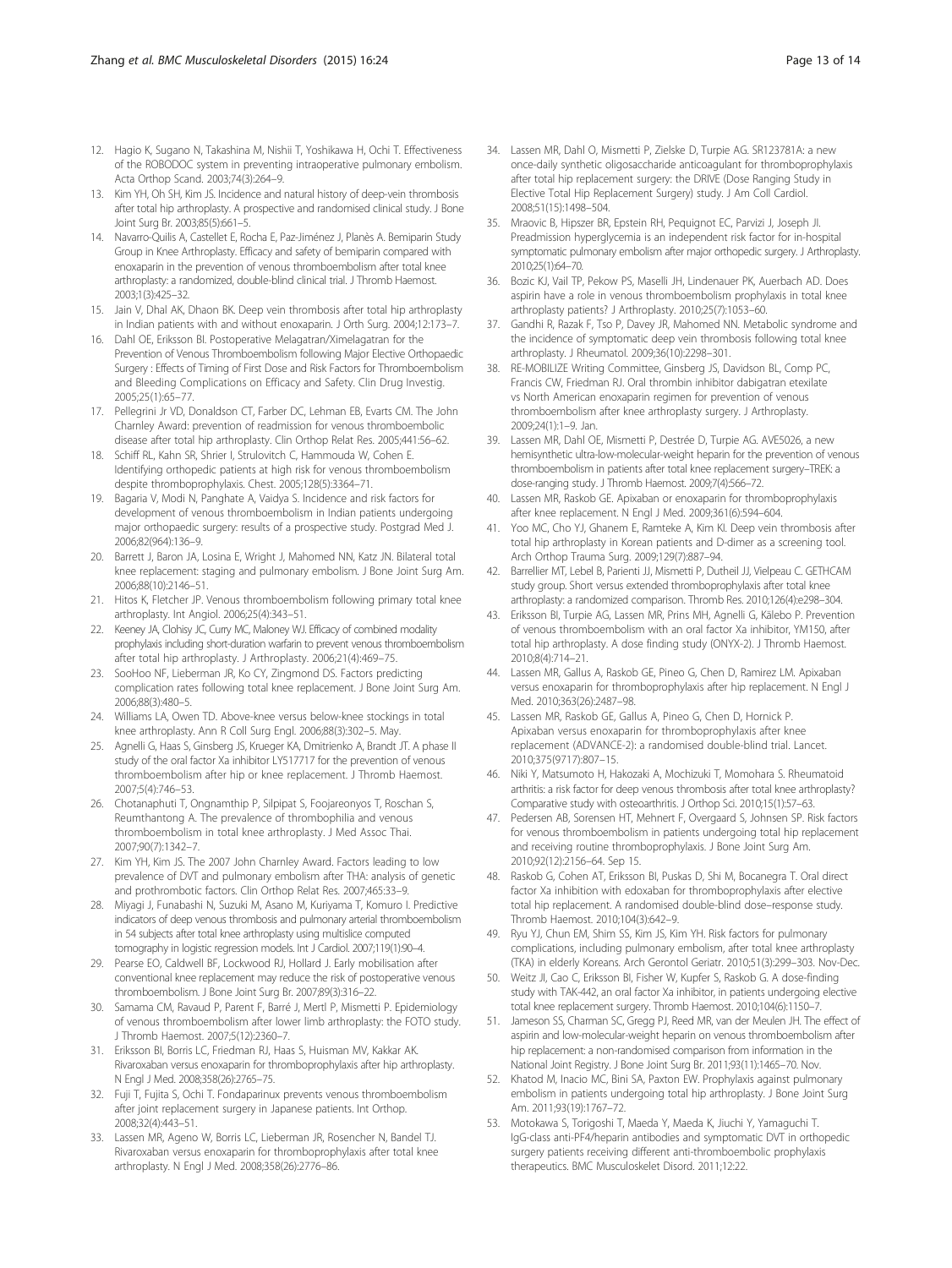- <span id="page-12-0"></span>12. Hagio K, Sugano N, Takashina M, Nishii T, Yoshikawa H, Ochi T. Effectiveness of the ROBODOC system in preventing intraoperative pulmonary embolism. Acta Orthop Scand. 2003;74(3):264–9.
- 13. Kim YH, Oh SH, Kim JS. Incidence and natural history of deep-vein thrombosis after total hip arthroplasty. A prospective and randomised clinical study. J Bone Joint Surg Br. 2003;85(5):661–5.
- 14. Navarro-Quilis A, Castellet E, Rocha E, Paz-Jiménez J, Planès A. Bemiparin Study Group in Knee Arthroplasty. Efficacy and safety of bemiparin compared with enoxaparin in the prevention of venous thromboembolism after total knee arthroplasty: a randomized, double-blind clinical trial. J Thromb Haemost. 2003;1(3):425–32.
- 15. Jain V, Dhal AK, Dhaon BK. Deep vein thrombosis after total hip arthroplasty in Indian patients with and without enoxaparin. J Orth Surg. 2004;12:173–7.
- 16. Dahl OE, Eriksson BI. Postoperative Melagatran/Ximelagatran for the Prevention of Venous Thromboembolism following Major Elective Orthopaedic Surgery : Effects of Timing of First Dose and Risk Factors for Thromboembolism and Bleeding Complications on Efficacy and Safety. Clin Drug Investig. 2005;25(1):65–77.
- 17. Pellegrini Jr VD, Donaldson CT, Farber DC, Lehman EB, Evarts CM. The John Charnley Award: prevention of readmission for venous thromboembolic disease after total hip arthroplasty. Clin Orthop Relat Res. 2005;441:56–62.
- 18. Schiff RL, Kahn SR, Shrier I, Strulovitch C, Hammouda W, Cohen E. Identifying orthopedic patients at high risk for venous thromboembolism despite thromboprophylaxis. Chest. 2005;128(5):3364–71.
- 19. Bagaria V, Modi N, Panghate A, Vaidya S. Incidence and risk factors for development of venous thromboembolism in Indian patients undergoing major orthopaedic surgery: results of a prospective study. Postgrad Med J. 2006;82(964):136–9.
- 20. Barrett J, Baron JA, Losina E, Wright J, Mahomed NN, Katz JN. Bilateral total knee replacement: staging and pulmonary embolism. J Bone Joint Surg Am. 2006;88(10):2146–51.
- 21. Hitos K, Fletcher JP. Venous thromboembolism following primary total knee arthroplasty. Int Angiol. 2006;25(4):343–51.
- 22. Keeney JA, Clohisy JC, Curry MC, Maloney WJ. Efficacy of combined modality prophylaxis including short-duration warfarin to prevent venous thromboembolism after total hip arthroplasty. J Arthroplasty. 2006;21(4):469–75.
- 23. SooHoo NF, Lieberman JR, Ko CY, Zingmond DS. Factors predicting complication rates following total knee replacement. J Bone Joint Surg Am. 2006;88(3):480–5.
- 24. Williams LA, Owen TD. Above-knee versus below-knee stockings in total knee arthroplasty. Ann R Coll Surg Engl. 2006;88(3):302–5. May.
- 25. Agnelli G, Haas S, Ginsberg JS, Krueger KA, Dmitrienko A, Brandt JT. A phase II study of the oral factor Xa inhibitor LY517717 for the prevention of venous thromboembolism after hip or knee replacement. J Thromb Haemost. 2007;5(4):746–53.
- 26. Chotanaphuti T, Ongnamthip P, Silpipat S, Foojareonyos T, Roschan S, Reumthantong A. The prevalence of thrombophilia and venous thromboembolism in total knee arthroplasty. J Med Assoc Thai. 2007;90(7):1342–7.
- 27. Kim YH, Kim JS. The 2007 John Charnley Award. Factors leading to low prevalence of DVT and pulmonary embolism after THA: analysis of genetic and prothrombotic factors. Clin Orthop Relat Res. 2007;465:33–9.
- 28. Miyagi J, Funabashi N, Suzuki M, Asano M, Kuriyama T, Komuro I. Predictive indicators of deep venous thrombosis and pulmonary arterial thromboembolism in 54 subjects after total knee arthroplasty using multislice computed tomography in logistic regression models. Int J Cardiol. 2007;119(1):90–4.
- 29. Pearse EO, Caldwell BF, Lockwood RJ, Hollard J. Early mobilisation after conventional knee replacement may reduce the risk of postoperative venous thromboembolism. J Bone Joint Surg Br. 2007;89(3):316–22.
- 30. Samama CM, Ravaud P, Parent F, Barré J, Mertl P, Mismetti P. Epidemiology of venous thromboembolism after lower limb arthroplasty: the FOTO study. J Thromb Haemost. 2007;5(12):2360–7.
- 31. Eriksson BI, Borris LC, Friedman RJ, Haas S, Huisman MV, Kakkar AK. Rivaroxaban versus enoxaparin for thromboprophylaxis after hip arthroplasty. N Engl J Med. 2008;358(26):2765–75.
- 32. Fuji T, Fujita S, Ochi T. Fondaparinux prevents venous thromboembolism after joint replacement surgery in Japanese patients. Int Orthop. 2008;32(4):443–51.
- 33. Lassen MR, Ageno W, Borris LC, Lieberman JR, Rosencher N, Bandel TJ. Rivaroxaban versus enoxaparin for thromboprophylaxis after total knee arthroplasty. N Engl J Med. 2008;358(26):2776–86.
- 34. Lassen MR, Dahl O, Mismetti P, Zielske D, Turpie AG. SR123781A: a new once-daily synthetic oligosaccharide anticoagulant for thromboprophylaxis after total hip replacement surgery: the DRIVE (Dose Ranging Study in Elective Total Hip Replacement Surgery) study. J Am Coll Cardiol. 2008;51(15):1498–504.
- 35. Mraovic B, Hipszer BR, Epstein RH, Pequignot EC, Parvizi J, Joseph JI. Preadmission hyperglycemia is an independent risk factor for in-hospital symptomatic pulmonary embolism after major orthopedic surgery. J Arthroplasty. 2010;25(1):64–70.
- 36. Bozic KJ, Vail TP, Pekow PS, Maselli JH, Lindenauer PK, Auerbach AD. Does aspirin have a role in venous thromboembolism prophylaxis in total knee arthroplasty patients? J Arthroplasty. 2010;25(7):1053–60.
- 37. Gandhi R, Razak F, Tso P, Davey JR, Mahomed NN. Metabolic syndrome and the incidence of symptomatic deep vein thrombosis following total knee arthroplasty. J Rheumatol. 2009;36(10):2298–301.
- 38. RE-MOBILIZE Writing Committee, Ginsberg JS, Davidson BL, Comp PC, Francis CW, Friedman RJ. Oral thrombin inhibitor dabigatran etexilate vs North American enoxaparin regimen for prevention of venous thromboembolism after knee arthroplasty surgery. J Arthroplasty. 2009;24(1):1–9. Jan.
- 39. Lassen MR, Dahl OE, Mismetti P, Destrée D, Turpie AG. AVE5026, a new hemisynthetic ultra-low-molecular-weight heparin for the prevention of venous thromboembolism in patients after total knee replacement surgery–TREK: a dose-ranging study. J Thromb Haemost. 2009;7(4):566–72.
- 40. Lassen MR, Raskob GE. Apixaban or enoxaparin for thromboprophylaxis after knee replacement. N Engl J Med. 2009;361(6):594–604.
- 41. Yoo MC, Cho YJ, Ghanem E, Ramteke A, Kim KI. Deep vein thrombosis after total hip arthroplasty in Korean patients and D-dimer as a screening tool. Arch Orthop Trauma Surg. 2009;129(7):887–94.
- 42. Barrellier MT, Lebel B, Parienti JJ, Mismetti P, Dutheil JJ, Vielpeau C. GETHCAM study group. Short versus extended thromboprophylaxis after total knee arthroplasty: a randomized comparison. Thromb Res. 2010;126(4):e298–304.
- 43. Eriksson BI, Turpie AG, Lassen MR, Prins MH, Agnelli G, Kälebo P. Prevention of venous thromboembolism with an oral factor Xa inhibitor, YM150, after total hip arthroplasty. A dose finding study (ONYX-2). J Thromb Haemost. 2010;8(4):714–21.
- 44. Lassen MR, Gallus A, Raskob GE, Pineo G, Chen D, Ramirez LM. Apixaban versus enoxaparin for thromboprophylaxis after hip replacement. N Engl J Med. 2010;363(26):2487–98.
- 45. Lassen MR, Raskob GE, Gallus A, Pineo G, Chen D, Hornick P. Apixaban versus enoxaparin for thromboprophylaxis after knee replacement (ADVANCE-2): a randomised double-blind trial. Lancet. 2010;375(9717):807–15.
- 46. Niki Y, Matsumoto H, Hakozaki A, Mochizuki T, Momohara S. Rheumatoid arthritis: a risk factor for deep venous thrombosis after total knee arthroplasty? Comparative study with osteoarthritis. J Orthop Sci. 2010;15(1):57–63.
- 47. Pedersen AB, Sorensen HT, Mehnert F, Overgaard S, Johnsen SP. Risk factors for venous thromboembolism in patients undergoing total hip replacement and receiving routine thromboprophylaxis. J Bone Joint Surg Am. 2010;92(12):2156–64. Sep 15.
- 48. Raskob G, Cohen AT, Eriksson BI, Puskas D, Shi M, Bocanegra T. Oral direct factor Xa inhibition with edoxaban for thromboprophylaxis after elective total hip replacement. A randomised double-blind dose–response study. Thromb Haemost. 2010;104(3):642–9.
- 49. Ryu YJ, Chun EM, Shim SS, Kim JS, Kim YH. Risk factors for pulmonary complications, including pulmonary embolism, after total knee arthroplasty (TKA) in elderly Koreans. Arch Gerontol Geriatr. 2010;51(3):299–303. Nov-Dec.
- 50. Weitz JI, Cao C, Eriksson BI, Fisher W, Kupfer S, Raskob G. A dose-finding study with TAK-442, an oral factor Xa inhibitor, in patients undergoing elective total knee replacement surgery. Thromb Haemost. 2010;104(6):1150–7.
- 51. Jameson SS, Charman SC, Gregg PJ, Reed MR, van der Meulen JH. The effect of aspirin and low-molecular-weight heparin on venous thromboembolism after hip replacement: a non-randomised comparison from information in the National Joint Registry. J Bone Joint Surg Br. 2011;93(11):1465–70. Nov.
- 52. Khatod M, Inacio MC, Bini SA, Paxton EW. Prophylaxis against pulmonary embolism in patients undergoing total hip arthroplasty. J Bone Joint Surg Am. 2011;93(19):1767–72.
- 53. Motokawa S, Torigoshi T, Maeda Y, Maeda K, Jiuchi Y, Yamaguchi T. IgG-class anti-PF4/heparin antibodies and symptomatic DVT in orthopedic surgery patients receiving different anti-thromboembolic prophylaxis therapeutics. BMC Musculoskelet Disord. 2011;12:22.